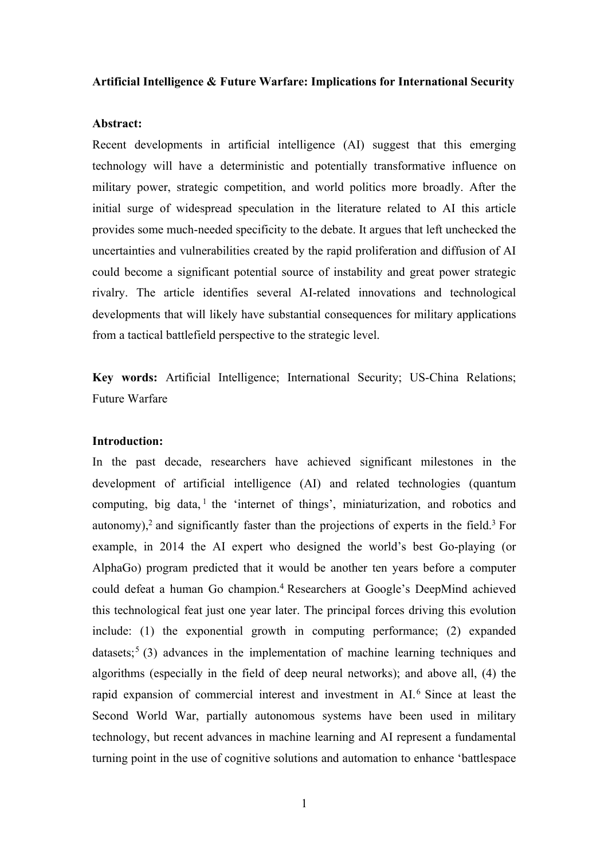#### **Artificial Intelligence & Future Warfare: Implications for International Security**

### **Abstract:**

Recent developments in artificial intelligence (AI) suggest that this emerging technology will have a deterministic and potentially transformative influence on military power, strategic competition, and world politics more broadly. After the initial surge of widespread speculation in the literature related to AI this article provides some much-needed specificity to the debate. It argues that left unchecked the uncertainties and vulnerabilities created by the rapid proliferation and diffusion of AI could become a significant potential source of instability and great power strategic rivalry. The article identifies several AI-related innovations and technological developments that will likely have substantial consequences for military applications from a tactical battlefield perspective to the strategic level.

**Key words:** Artificial Intelligence; International Security; US-China Relations; Future Warfare

# **Introduction:**

In the past decade, researchers have achieved significant milestones in the development of artificial intelligence (AI) and related technologies (quantum computing, big data,  $\frac{1}{1}$  the 'internet of things', miniaturization, and robotics and autonomy),<sup>2</sup> and significantly faster than the projections of experts in the field.<sup>3</sup> For example, in 2014 the AI expert who designed the world's best Go-playing (or AlphaGo) program predicted that it would be another ten years before a computer could defeat a human Go champion.4 Researchers at Google's DeepMind achieved this technological feat just one year later. The principal forces driving this evolution include: (1) the exponential growth in computing performance; (2) expanded datasets;<sup>5</sup> (3) advances in the implementation of machine learning techniques and algorithms (especially in the field of deep neural networks); and above all, (4) the rapid expansion of commercial interest and investment in AI.<sup>6</sup> Since at least the Second World War, partially autonomous systems have been used in military technology, but recent advances in machine learning and AI represent a fundamental turning point in the use of cognitive solutions and automation to enhance 'battlespace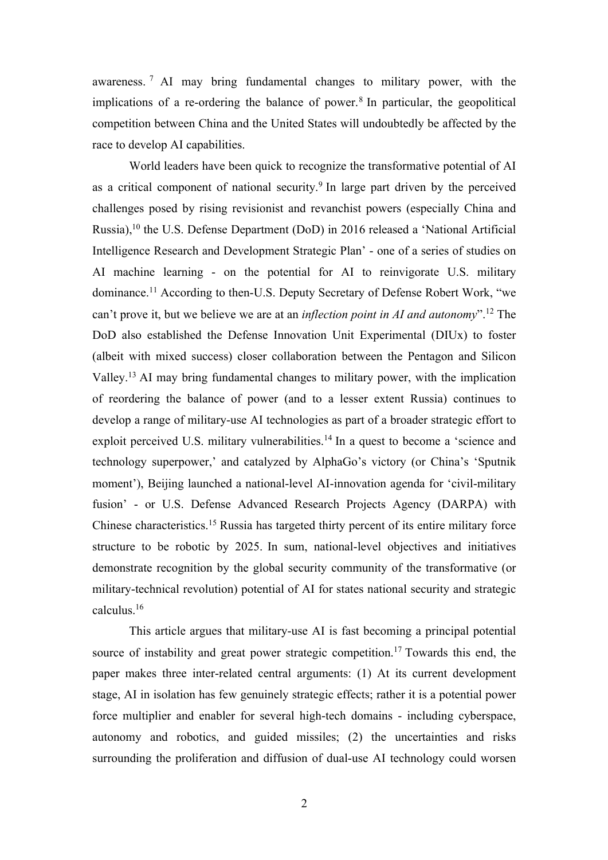awareness. <sup>7</sup> AI may bring fundamental changes to military power, with the implications of a re-ordering the balance of power.<sup>8</sup> In particular, the geopolitical competition between China and the United States will undoubtedly be affected by the race to develop AI capabilities.

World leaders have been quick to recognize the transformative potential of AI as a critical component of national security.9 In large part driven by the perceived challenges posed by rising revisionist and revanchist powers (especially China and Russia),10 the U.S. Defense Department (DoD) in 2016 released a 'National Artificial Intelligence Research and Development Strategic Plan' - one of a series of studies on AI machine learning - on the potential for AI to reinvigorate U.S. military dominance.11 According to then-U.S. Deputy Secretary of Defense Robert Work, "we can't prove it, but we believe we are at an *inflection point in AI and autonomy*".12 The DoD also established the Defense Innovation Unit Experimental (DIUx) to foster (albeit with mixed success) closer collaboration between the Pentagon and Silicon Valley.13 AI may bring fundamental changes to military power, with the implication of reordering the balance of power (and to a lesser extent Russia) continues to develop a range of military-use AI technologies as part of a broader strategic effort to exploit perceived U.S. military vulnerabilities.<sup>14</sup> In a quest to become a 'science and technology superpower,' and catalyzed by AlphaGo's victory (or China's 'Sputnik moment'), Beijing launched a national-level AI-innovation agenda for 'civil-military fusion' - or U.S. Defense Advanced Research Projects Agency (DARPA) with Chinese characteristics.15 Russia has targeted thirty percent of its entire military force structure to be robotic by 2025. In sum, national-level objectives and initiatives demonstrate recognition by the global security community of the transformative (or military-technical revolution) potential of AI for states national security and strategic calculus.16

This article argues that military-use AI is fast becoming a principal potential source of instability and great power strategic competition.<sup>17</sup> Towards this end, the paper makes three inter-related central arguments: (1) At its current development stage, AI in isolation has few genuinely strategic effects; rather it is a potential power force multiplier and enabler for several high-tech domains - including cyberspace, autonomy and robotics, and guided missiles; (2) the uncertainties and risks surrounding the proliferation and diffusion of dual-use AI technology could worsen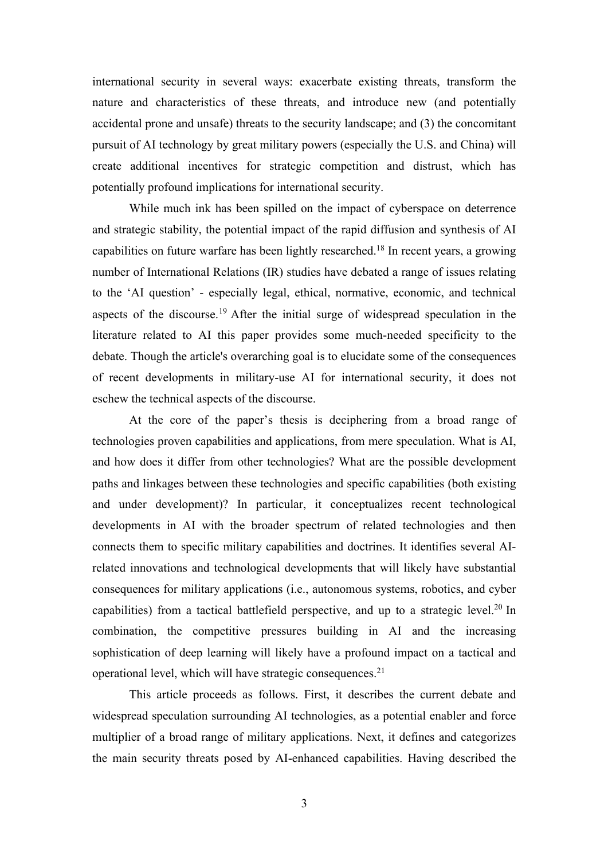international security in several ways: exacerbate existing threats, transform the nature and characteristics of these threats, and introduce new (and potentially accidental prone and unsafe) threats to the security landscape; and (3) the concomitant pursuit of AI technology by great military powers (especially the U.S. and China) will create additional incentives for strategic competition and distrust, which has potentially profound implications for international security.

While much ink has been spilled on the impact of cyberspace on deterrence and strategic stability, the potential impact of the rapid diffusion and synthesis of AI capabilities on future warfare has been lightly researched.18 In recent years, a growing number of International Relations (IR) studies have debated a range of issues relating to the 'AI question' - especially legal, ethical, normative, economic, and technical aspects of the discourse.19 After the initial surge of widespread speculation in the literature related to AI this paper provides some much-needed specificity to the debate. Though the article's overarching goal is to elucidate some of the consequences of recent developments in military-use AI for international security, it does not eschew the technical aspects of the discourse.

At the core of the paper's thesis is deciphering from a broad range of technologies proven capabilities and applications, from mere speculation. What is AI, and how does it differ from other technologies? What are the possible development paths and linkages between these technologies and specific capabilities (both existing and under development)? In particular, it conceptualizes recent technological developments in AI with the broader spectrum of related technologies and then connects them to specific military capabilities and doctrines. It identifies several AIrelated innovations and technological developments that will likely have substantial consequences for military applications (i.e., autonomous systems, robotics, and cyber capabilities) from a tactical battlefield perspective, and up to a strategic level.<sup>20</sup> In combination, the competitive pressures building in AI and the increasing sophistication of deep learning will likely have a profound impact on a tactical and operational level, which will have strategic consequences.21

This article proceeds as follows. First, it describes the current debate and widespread speculation surrounding AI technologies, as a potential enabler and force multiplier of a broad range of military applications. Next, it defines and categorizes the main security threats posed by AI-enhanced capabilities. Having described the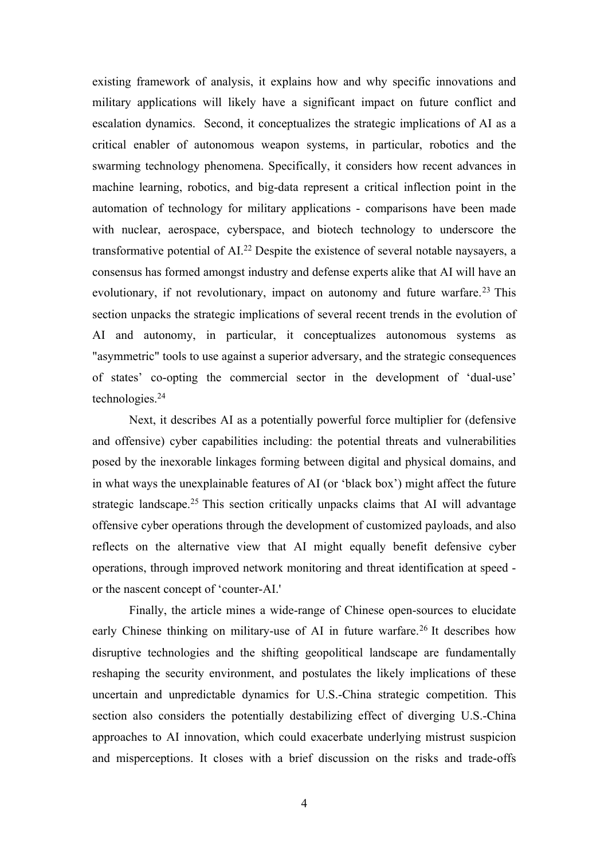existing framework of analysis, it explains how and why specific innovations and military applications will likely have a significant impact on future conflict and escalation dynamics. Second, it conceptualizes the strategic implications of AI as a critical enabler of autonomous weapon systems, in particular, robotics and the swarming technology phenomena. Specifically, it considers how recent advances in machine learning, robotics, and big-data represent a critical inflection point in the automation of technology for military applications - comparisons have been made with nuclear, aerospace, cyberspace, and biotech technology to underscore the transformative potential of AI.<sup>22</sup> Despite the existence of several notable naysayers, a consensus has formed amongst industry and defense experts alike that AI will have an evolutionary, if not revolutionary, impact on autonomy and future warfare.<sup>23</sup> This section unpacks the strategic implications of several recent trends in the evolution of AI and autonomy, in particular, it conceptualizes autonomous systems as "asymmetric" tools to use against a superior adversary, and the strategic consequences of states' co-opting the commercial sector in the development of 'dual-use' technologies.24

Next, it describes AI as a potentially powerful force multiplier for (defensive and offensive) cyber capabilities including: the potential threats and vulnerabilities posed by the inexorable linkages forming between digital and physical domains, and in what ways the unexplainable features of AI (or 'black box') might affect the future strategic landscape.<sup>25</sup> This section critically unpacks claims that AI will advantage offensive cyber operations through the development of customized payloads, and also reflects on the alternative view that AI might equally benefit defensive cyber operations, through improved network monitoring and threat identification at speed or the nascent concept of 'counter-AI.'

Finally, the article mines a wide-range of Chinese open-sources to elucidate early Chinese thinking on military-use of AI in future warfare.<sup>26</sup> It describes how disruptive technologies and the shifting geopolitical landscape are fundamentally reshaping the security environment, and postulates the likely implications of these uncertain and unpredictable dynamics for U.S.-China strategic competition. This section also considers the potentially destabilizing effect of diverging U.S.-China approaches to AI innovation, which could exacerbate underlying mistrust suspicion and misperceptions. It closes with a brief discussion on the risks and trade-offs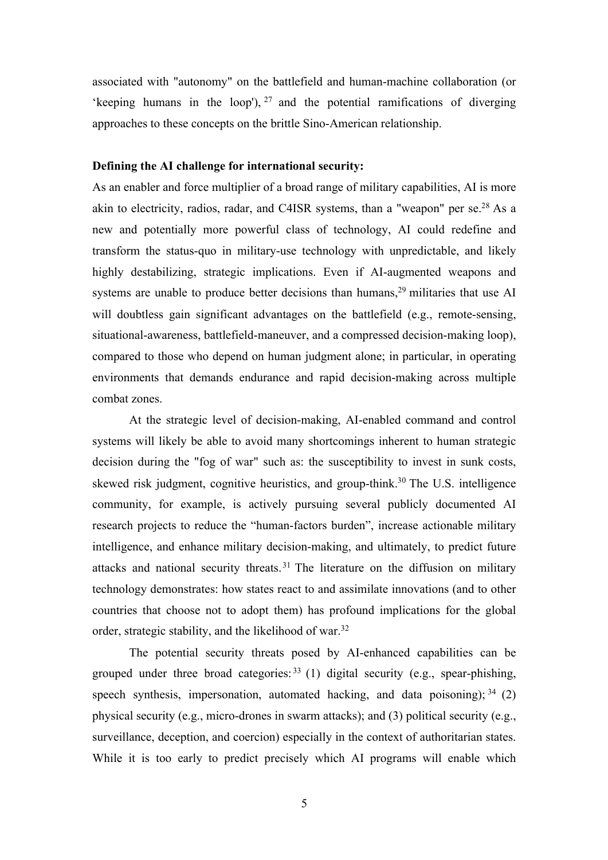associated with "autonomy" on the battlefield and human-machine collaboration (or 'keeping humans in the loop'),  $27$  and the potential ramifications of diverging approaches to these concepts on the brittle Sino-American relationship.

## **Defining the AI challenge for international security:**

As an enabler and force multiplier of a broad range of military capabilities, AI is more akin to electricity, radios, radar, and C4ISR systems, than a "weapon" per se.28 As a new and potentially more powerful class of technology, AI could redefine and transform the status-quo in military-use technology with unpredictable, and likely highly destabilizing, strategic implications. Even if AI-augmented weapons and systems are unable to produce better decisions than humans,<sup>29</sup> militaries that use AI will doubtless gain significant advantages on the battlefield (e.g., remote-sensing, situational-awareness, battlefield-maneuver, and a compressed decision-making loop), compared to those who depend on human judgment alone; in particular, in operating environments that demands endurance and rapid decision-making across multiple combat zones.

At the strategic level of decision-making, AI-enabled command and control systems will likely be able to avoid many shortcomings inherent to human strategic decision during the "fog of war" such as: the susceptibility to invest in sunk costs, skewed risk judgment, cognitive heuristics, and group-think.<sup>30</sup> The U.S. intelligence community, for example, is actively pursuing several publicly documented AI research projects to reduce the "human-factors burden", increase actionable military intelligence, and enhance military decision-making, and ultimately, to predict future attacks and national security threats.31 The literature on the diffusion on military technology demonstrates: how states react to and assimilate innovations (and to other countries that choose not to adopt them) has profound implications for the global order, strategic stability, and the likelihood of war.32

The potential security threats posed by AI-enhanced capabilities can be grouped under three broad categories:  $33$  (1) digital security (e.g., spear-phishing, speech synthesis, impersonation, automated hacking, and data poisoning);  $34$  (2) physical security (e.g., micro-drones in swarm attacks); and (3) political security (e.g., surveillance, deception, and coercion) especially in the context of authoritarian states. While it is too early to predict precisely which AI programs will enable which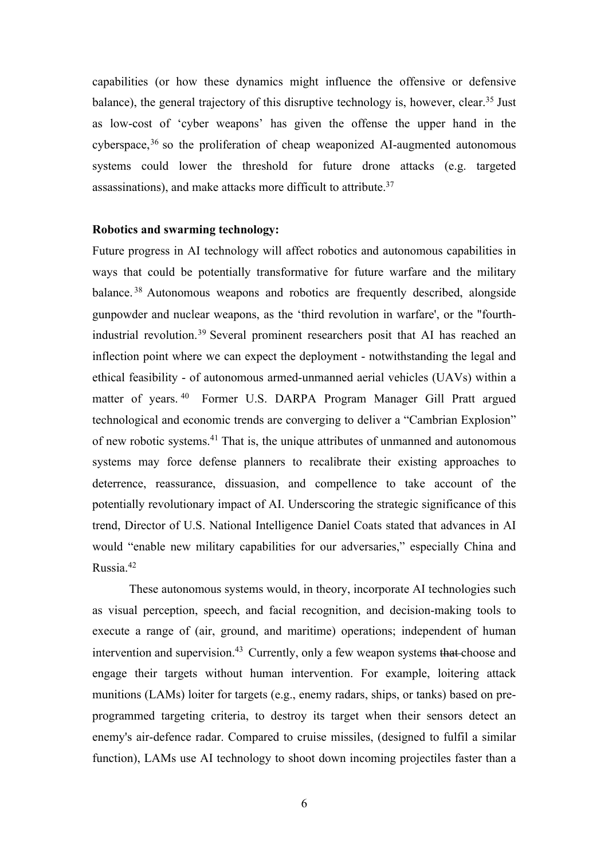capabilities (or how these dynamics might influence the offensive or defensive balance), the general trajectory of this disruptive technology is, however, clear.35 Just as low-cost of 'cyber weapons' has given the offense the upper hand in the cyberspace, $36$  so the proliferation of cheap weaponized AI-augmented autonomous systems could lower the threshold for future drone attacks (e.g. targeted assassinations), and make attacks more difficult to attribute.37

## **Robotics and swarming technology:**

Future progress in AI technology will affect robotics and autonomous capabilities in ways that could be potentially transformative for future warfare and the military balance. <sup>38</sup> Autonomous weapons and robotics are frequently described, alongside gunpowder and nuclear weapons, as the 'third revolution in warfare', or the "fourthindustrial revolution.39 Several prominent researchers posit that AI has reached an inflection point where we can expect the deployment - notwithstanding the legal and ethical feasibility - of autonomous armed-unmanned aerial vehicles (UAVs) within a matter of years. <sup>40</sup> Former U.S. DARPA Program Manager Gill Pratt argued technological and economic trends are converging to deliver a "Cambrian Explosion" of new robotic systems.41 That is, the unique attributes of unmanned and autonomous systems may force defense planners to recalibrate their existing approaches to deterrence, reassurance, dissuasion, and compellence to take account of the potentially revolutionary impact of AI. Underscoring the strategic significance of this trend, Director of U.S. National Intelligence Daniel Coats stated that advances in AI would "enable new military capabilities for our adversaries," especially China and Russia.42

These autonomous systems would, in theory, incorporate AI technologies such as visual perception, speech, and facial recognition, and decision-making tools to execute a range of (air, ground, and maritime) operations; independent of human intervention and supervision.<sup>43</sup> Currently, only a few weapon systems that choose and engage their targets without human intervention. For example, loitering attack munitions (LAMs) loiter for targets (e.g., enemy radars, ships, or tanks) based on preprogrammed targeting criteria, to destroy its target when their sensors detect an enemy's air-defence radar. Compared to cruise missiles, (designed to fulfil a similar function), LAMs use AI technology to shoot down incoming projectiles faster than a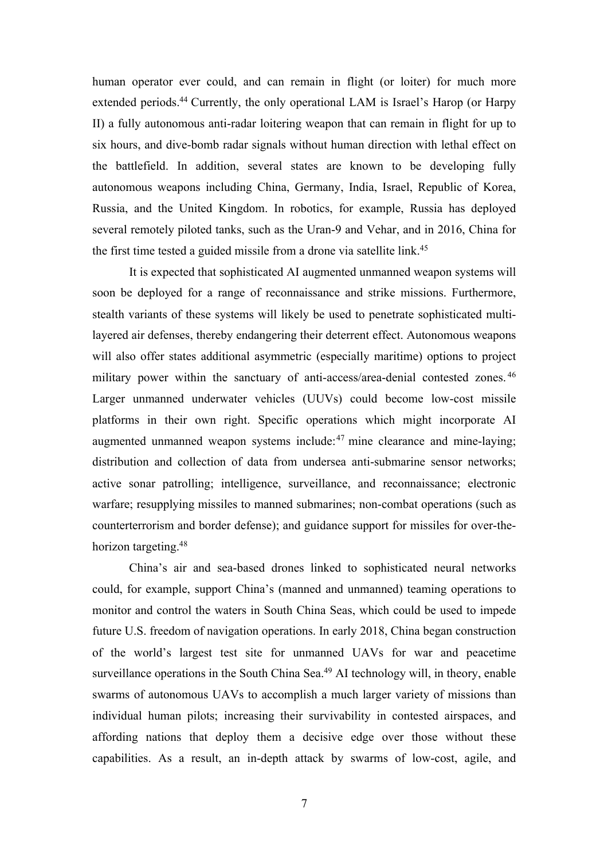human operator ever could, and can remain in flight (or loiter) for much more extended periods.44 Currently, the only operational LAM is Israel's Harop (or Harpy II) a fully autonomous anti-radar loitering weapon that can remain in flight for up to six hours, and dive-bomb radar signals without human direction with lethal effect on the battlefield. In addition, several states are known to be developing fully autonomous weapons including China, Germany, India, Israel, Republic of Korea, Russia, and the United Kingdom. In robotics, for example, Russia has deployed several remotely piloted tanks, such as the Uran-9 and Vehar, and in 2016, China for the first time tested a guided missile from a drone via satellite link.<sup>45</sup>

It is expected that sophisticated AI augmented unmanned weapon systems will soon be deployed for a range of reconnaissance and strike missions. Furthermore, stealth variants of these systems will likely be used to penetrate sophisticated multilayered air defenses, thereby endangering their deterrent effect. Autonomous weapons will also offer states additional asymmetric (especially maritime) options to project military power within the sanctuary of anti-access/area-denial contested zones.<sup>46</sup> Larger unmanned underwater vehicles (UUVs) could become low-cost missile platforms in their own right. Specific operations which might incorporate AI augmented unmanned weapon systems include: $47$  mine clearance and mine-laying; distribution and collection of data from undersea anti-submarine sensor networks; active sonar patrolling; intelligence, surveillance, and reconnaissance; electronic warfare; resupplying missiles to manned submarines; non-combat operations (such as counterterrorism and border defense); and guidance support for missiles for over-thehorizon targeting.<sup>48</sup>

China's air and sea-based drones linked to sophisticated neural networks could, for example, support China's (manned and unmanned) teaming operations to monitor and control the waters in South China Seas, which could be used to impede future U.S. freedom of navigation operations. In early 2018, China began construction of the world's largest test site for unmanned UAVs for war and peacetime surveillance operations in the South China Sea.<sup>49</sup> AI technology will, in theory, enable swarms of autonomous UAVs to accomplish a much larger variety of missions than individual human pilots; increasing their survivability in contested airspaces, and affording nations that deploy them a decisive edge over those without these capabilities. As a result, an in-depth attack by swarms of low-cost, agile, and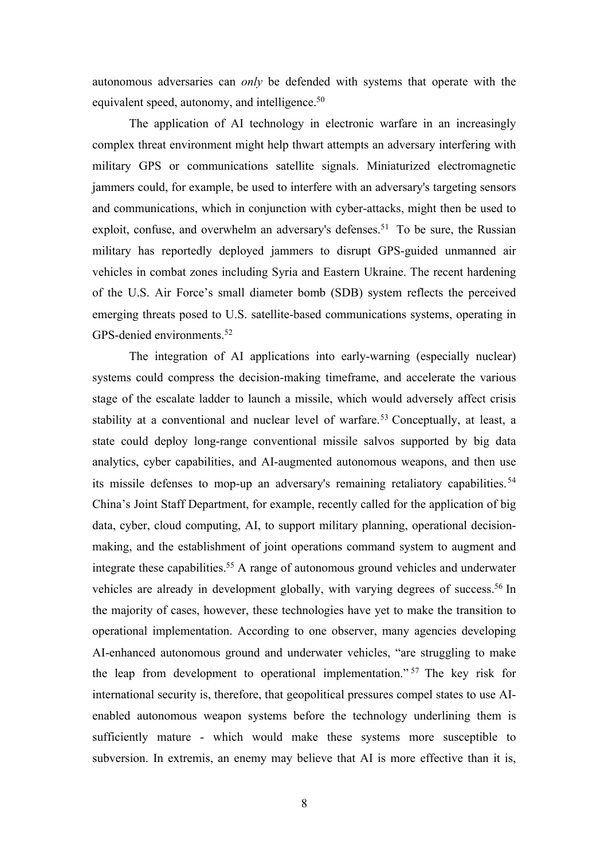autonomous adversaries can *only* be defended with systems that operate with the equivalent speed, autonomy, and intelligence.<sup>50</sup>

The application of AI technology in electronic warfare in an increasingly complex threat environment might help thwart attempts an adversary interfering with military GPS or communications satellite signals. Miniaturized electromagnetic jammers could, for example, be used to interfere with an adversary's targeting sensors and communications, which in conjunction with cyber-attacks, might then be used to exploit, confuse, and overwhelm an adversary's defenses.<sup>51</sup> To be sure, the Russian military has reportedly deployed jammers to disrupt GPS-guided unmanned air vehicles in combat zones including Syria and Eastern Ukraine. The recent hardening of the U.S. Air Force's small diameter bomb (SDB) system reflects the perceived emerging threats posed to U.S. satellite-based communications systems, operating in GPS-denied environments.<sup>52</sup>

The integration of AI applications into early-warning (especially nuclear) systems could compress the decision-making timeframe, and accelerate the various stage of the escalate ladder to launch a missile, which would adversely affect crisis stability at a conventional and nuclear level of warfare.<sup>53</sup> Conceptually, at least, a state could deploy long-range conventional missile salvos supported by big data analytics, cyber capabilities, and AI-augmented autonomous weapons, and then use its missile defenses to mop-up an adversary's remaining retaliatory capabilities.<sup>54</sup> China's Joint Staff Department, for example, recently called for the application of big data, cyber, cloud computing, AI, to support military planning, operational decisionmaking, and the establishment of joint operations command system to augment and integrate these capabilities.<sup>55</sup> A range of autonomous ground vehicles and underwater vehicles are already in development globally, with varying degrees of success.<sup>56</sup> In the majority of cases, however, these technologies have yet to make the transition to operational implementation. According to one observer, many agencies developing AI-enhanced autonomous ground and underwater vehicles, "are struggling to make the leap from development to operational implementation." <sup>57</sup> The key risk for international security is, therefore, that geopolitical pressures compel states to use AIenabled autonomous weapon systems before the technology underlining them is sufficiently mature - which would make these systems more susceptible to subversion. In extremis, an enemy may believe that AI is more effective than it is,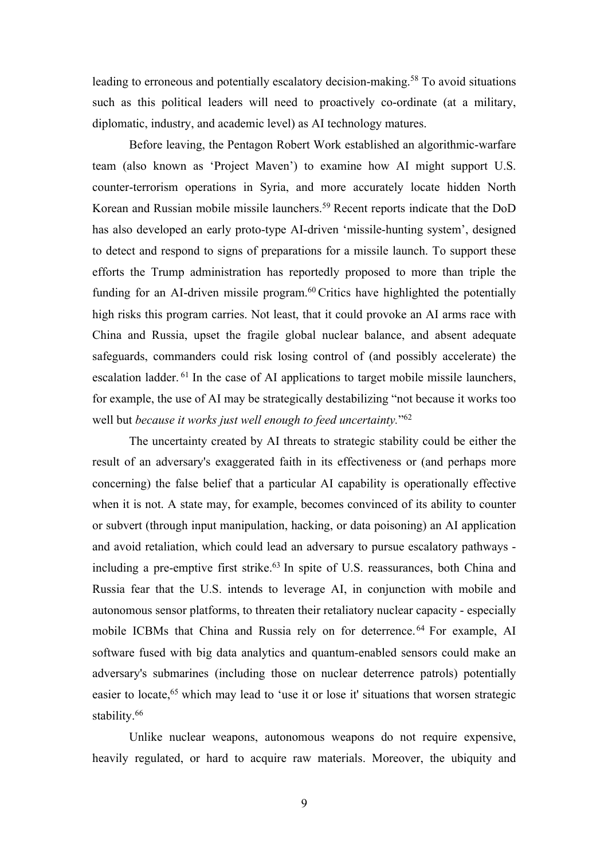leading to erroneous and potentially escalatory decision-making.<sup>58</sup> To avoid situations such as this political leaders will need to proactively co-ordinate (at a military, diplomatic, industry, and academic level) as AI technology matures.

Before leaving, the Pentagon Robert Work established an algorithmic-warfare team (also known as 'Project Maven') to examine how AI might support U.S. counter-terrorism operations in Syria, and more accurately locate hidden North Korean and Russian mobile missile launchers.59 Recent reports indicate that the DoD has also developed an early proto-type AI-driven 'missile-hunting system', designed to detect and respond to signs of preparations for a missile launch. To support these efforts the Trump administration has reportedly proposed to more than triple the funding for an AI-driven missile program.<sup>60</sup> Critics have highlighted the potentially high risks this program carries. Not least, that it could provoke an AI arms race with China and Russia, upset the fragile global nuclear balance, and absent adequate safeguards, commanders could risk losing control of (and possibly accelerate) the escalation ladder. <sup>61</sup> In the case of AI applications to target mobile missile launchers, for example, the use of AI may be strategically destabilizing "not because it works too well but *because it works just well enough to feed uncertainty.*"62

The uncertainty created by AI threats to strategic stability could be either the result of an adversary's exaggerated faith in its effectiveness or (and perhaps more concerning) the false belief that a particular AI capability is operationally effective when it is not. A state may, for example, becomes convinced of its ability to counter or subvert (through input manipulation, hacking, or data poisoning) an AI application and avoid retaliation, which could lead an adversary to pursue escalatory pathways including a pre-emptive first strike.<sup>63</sup> In spite of U.S. reassurances, both China and Russia fear that the U.S. intends to leverage AI, in conjunction with mobile and autonomous sensor platforms, to threaten their retaliatory nuclear capacity - especially mobile ICBMs that China and Russia rely on for deterrence. <sup>64</sup> For example, AI software fused with big data analytics and quantum-enabled sensors could make an adversary's submarines (including those on nuclear deterrence patrols) potentially easier to locate,<sup>65</sup> which may lead to 'use it or lose it' situations that worsen strategic stability.<sup>66</sup>

Unlike nuclear weapons, autonomous weapons do not require expensive, heavily regulated, or hard to acquire raw materials. Moreover, the ubiquity and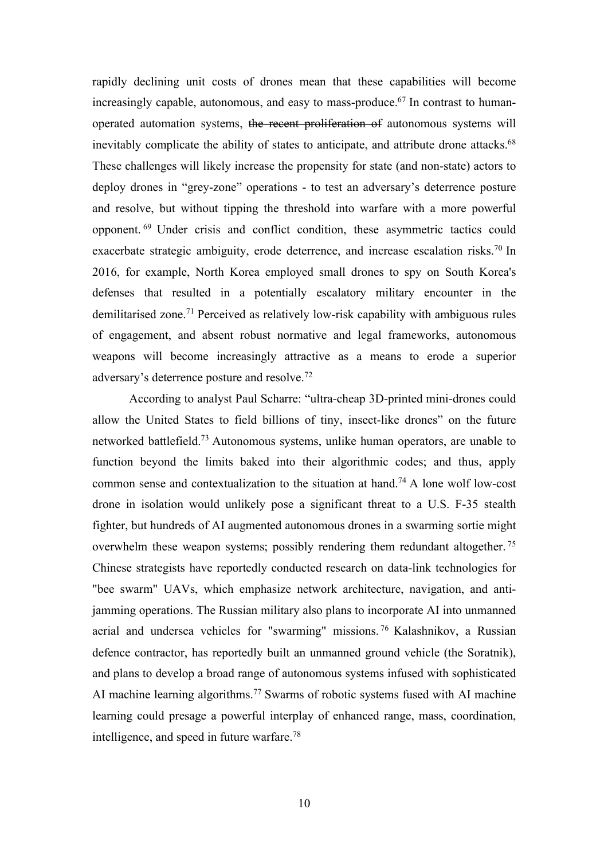rapidly declining unit costs of drones mean that these capabilities will become increasingly capable, autonomous, and easy to mass-produce.<sup>67</sup> In contrast to humanoperated automation systems, the recent proliferation of autonomous systems will inevitably complicate the ability of states to anticipate, and attribute drone attacks.<sup>68</sup> These challenges will likely increase the propensity for state (and non-state) actors to deploy drones in "grey-zone" operations - to test an adversary's deterrence posture and resolve, but without tipping the threshold into warfare with a more powerful opponent. <sup>69</sup> Under crisis and conflict condition, these asymmetric tactics could exacerbate strategic ambiguity, erode deterrence, and increase escalation risks.<sup>70</sup> In 2016, for example, North Korea employed small drones to spy on South Korea's defenses that resulted in a potentially escalatory military encounter in the demilitarised zone.<sup>71</sup> Perceived as relatively low-risk capability with ambiguous rules of engagement, and absent robust normative and legal frameworks, autonomous weapons will become increasingly attractive as a means to erode a superior adversary's deterrence posture and resolve.72

According to analyst Paul Scharre: "ultra-cheap 3D-printed mini-drones could allow the United States to field billions of tiny, insect-like drones" on the future networked battlefield.73 Autonomous systems, unlike human operators, are unable to function beyond the limits baked into their algorithmic codes; and thus, apply common sense and contextualization to the situation at hand.74 A lone wolf low-cost drone in isolation would unlikely pose a significant threat to a U.S. F-35 stealth fighter, but hundreds of AI augmented autonomous drones in a swarming sortie might overwhelm these weapon systems; possibly rendering them redundant altogether. <sup>75</sup> Chinese strategists have reportedly conducted research on data-link technologies for "bee swarm" UAVs, which emphasize network architecture, navigation, and antijamming operations. The Russian military also plans to incorporate AI into unmanned aerial and undersea vehicles for "swarming" missions. <sup>76</sup> Kalashnikov, a Russian defence contractor, has reportedly built an unmanned ground vehicle (the Soratnik), and plans to develop a broad range of autonomous systems infused with sophisticated AI machine learning algorithms.<sup>77</sup> Swarms of robotic systems fused with AI machine learning could presage a powerful interplay of enhanced range, mass, coordination, intelligence, and speed in future warfare.78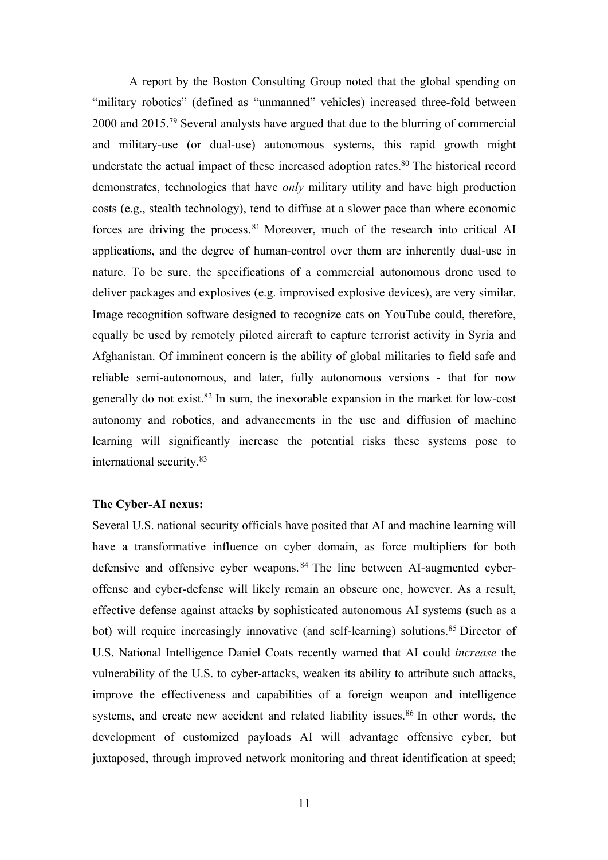A report by the Boston Consulting Group noted that the global spending on "military robotics" (defined as "unmanned" vehicles) increased three-fold between 2000 and 2015.79 Several analysts have argued that due to the blurring of commercial and military-use (or dual-use) autonomous systems, this rapid growth might understate the actual impact of these increased adoption rates.<sup>80</sup> The historical record demonstrates, technologies that have *only* military utility and have high production costs (e.g., stealth technology), tend to diffuse at a slower pace than where economic forces are driving the process.<sup>81</sup> Moreover, much of the research into critical AI applications, and the degree of human-control over them are inherently dual-use in nature. To be sure, the specifications of a commercial autonomous drone used to deliver packages and explosives (e.g. improvised explosive devices), are very similar. Image recognition software designed to recognize cats on YouTube could, therefore, equally be used by remotely piloted aircraft to capture terrorist activity in Syria and Afghanistan. Of imminent concern is the ability of global militaries to field safe and reliable semi-autonomous, and later, fully autonomous versions - that for now generally do not exist.82 In sum, the inexorable expansion in the market for low-cost autonomy and robotics, and advancements in the use and diffusion of machine learning will significantly increase the potential risks these systems pose to international security.83

## **The Cyber-AI nexus:**

Several U.S. national security officials have posited that AI and machine learning will have a transformative influence on cyber domain, as force multipliers for both defensive and offensive cyber weapons. <sup>84</sup> The line between AI-augmented cyberoffense and cyber-defense will likely remain an obscure one, however. As a result, effective defense against attacks by sophisticated autonomous AI systems (such as a bot) will require increasingly innovative (and self-learning) solutions.<sup>85</sup> Director of U.S. National Intelligence Daniel Coats recently warned that AI could *increase* the vulnerability of the U.S. to cyber-attacks, weaken its ability to attribute such attacks, improve the effectiveness and capabilities of a foreign weapon and intelligence systems, and create new accident and related liability issues.<sup>86</sup> In other words, the development of customized payloads AI will advantage offensive cyber, but juxtaposed, through improved network monitoring and threat identification at speed;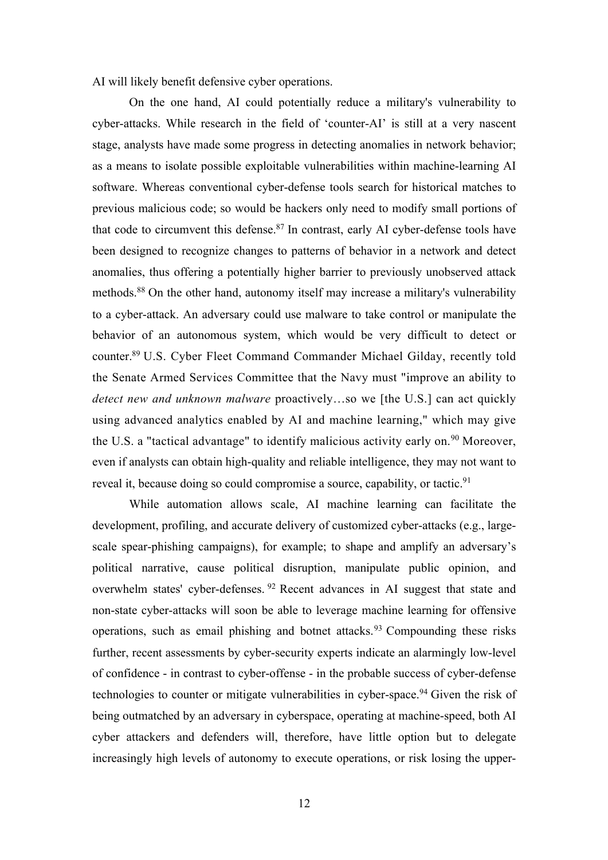AI will likely benefit defensive cyber operations.

On the one hand, AI could potentially reduce a military's vulnerability to cyber-attacks. While research in the field of 'counter-AI' is still at a very nascent stage, analysts have made some progress in detecting anomalies in network behavior; as a means to isolate possible exploitable vulnerabilities within machine-learning AI software. Whereas conventional cyber-defense tools search for historical matches to previous malicious code; so would be hackers only need to modify small portions of that code to circumvent this defense. $87$  In contrast, early AI cyber-defense tools have been designed to recognize changes to patterns of behavior in a network and detect anomalies, thus offering a potentially higher barrier to previously unobserved attack methods.88 On the other hand, autonomy itself may increase a military's vulnerability to a cyber-attack. An adversary could use malware to take control or manipulate the behavior of an autonomous system, which would be very difficult to detect or counter.89 U.S. Cyber Fleet Command Commander Michael Gilday, recently told the Senate Armed Services Committee that the Navy must "improve an ability to *detect new and unknown malware* proactively…so we [the U.S.] can act quickly using advanced analytics enabled by AI and machine learning," which may give the U.S. a "tactical advantage" to identify malicious activity early on.<sup>90</sup> Moreover, even if analysts can obtain high-quality and reliable intelligence, they may not want to reveal it, because doing so could compromise a source, capability, or tactic.<sup>91</sup>

While automation allows scale, AI machine learning can facilitate the development, profiling, and accurate delivery of customized cyber-attacks (e.g., largescale spear-phishing campaigns), for example; to shape and amplify an adversary's political narrative, cause political disruption, manipulate public opinion, and overwhelm states' cyber-defenses. <sup>92</sup> Recent advances in AI suggest that state and non-state cyber-attacks will soon be able to leverage machine learning for offensive operations, such as email phishing and botnet attacks.<sup>93</sup> Compounding these risks further, recent assessments by cyber-security experts indicate an alarmingly low-level of confidence - in contrast to cyber-offense - in the probable success of cyber-defense technologies to counter or mitigate vulnerabilities in cyber-space.<sup>94</sup> Given the risk of being outmatched by an adversary in cyberspace, operating at machine-speed, both AI cyber attackers and defenders will, therefore, have little option but to delegate increasingly high levels of autonomy to execute operations, or risk losing the upper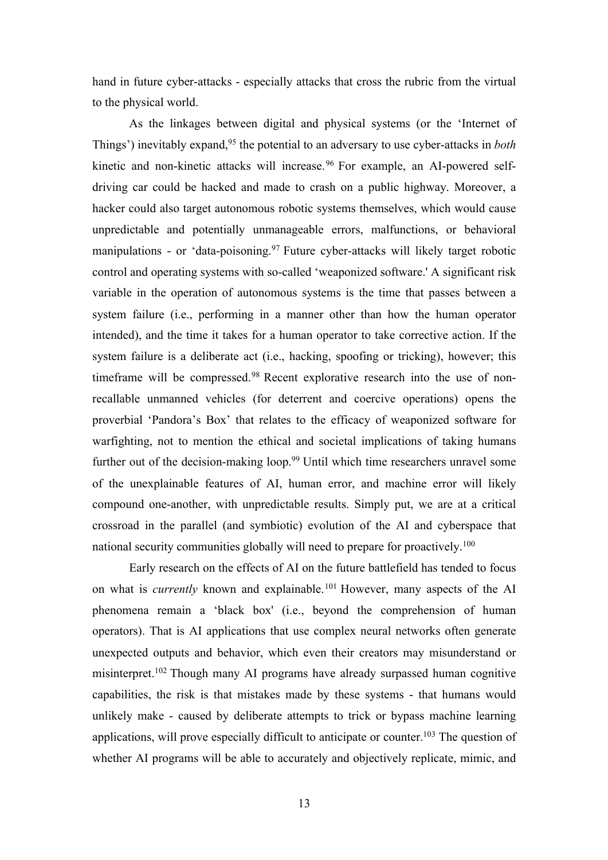hand in future cyber-attacks - especially attacks that cross the rubric from the virtual to the physical world.

As the linkages between digital and physical systems (or the 'Internet of Things') inevitably expand,95 the potential to an adversary to use cyber-attacks in *both* kinetic and non-kinetic attacks will increase.<sup>96</sup> For example, an AI-powered selfdriving car could be hacked and made to crash on a public highway. Moreover, a hacker could also target autonomous robotic systems themselves, which would cause unpredictable and potentially unmanageable errors, malfunctions, or behavioral manipulations - or 'data-poisoning.<sup>97</sup> Future cyber-attacks will likely target robotic control and operating systems with so-called 'weaponized software.' A significant risk variable in the operation of autonomous systems is the time that passes between a system failure (i.e., performing in a manner other than how the human operator intended), and the time it takes for a human operator to take corrective action. If the system failure is a deliberate act (i.e., hacking, spoofing or tricking), however; this timeframe will be compressed.<sup>98</sup> Recent explorative research into the use of nonrecallable unmanned vehicles (for deterrent and coercive operations) opens the proverbial 'Pandora's Box' that relates to the efficacy of weaponized software for warfighting, not to mention the ethical and societal implications of taking humans further out of the decision-making loop.<sup>99</sup> Until which time researchers unravel some of the unexplainable features of AI, human error, and machine error will likely compound one-another, with unpredictable results. Simply put, we are at a critical crossroad in the parallel (and symbiotic) evolution of the AI and cyberspace that national security communities globally will need to prepare for proactively.<sup>100</sup>

Early research on the effects of AI on the future battlefield has tended to focus on what is *currently* known and explainable.101 However, many aspects of the AI phenomena remain a 'black box' (i.e., beyond the comprehension of human operators). That is AI applications that use complex neural networks often generate unexpected outputs and behavior, which even their creators may misunderstand or misinterpret.<sup>102</sup> Though many AI programs have already surpassed human cognitive capabilities, the risk is that mistakes made by these systems - that humans would unlikely make - caused by deliberate attempts to trick or bypass machine learning applications, will prove especially difficult to anticipate or counter.<sup>103</sup> The question of whether AI programs will be able to accurately and objectively replicate, mimic, and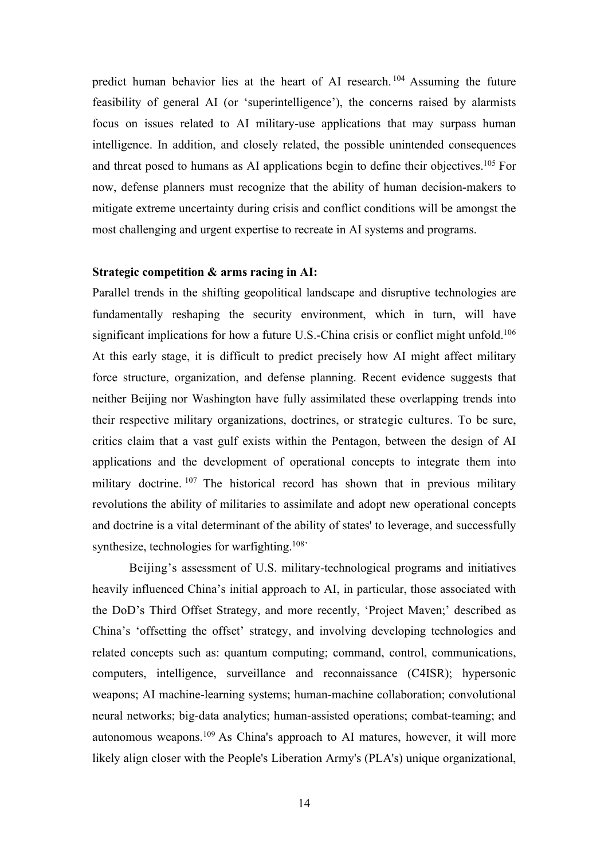predict human behavior lies at the heart of AI research. <sup>104</sup> Assuming the future feasibility of general AI (or 'superintelligence'), the concerns raised by alarmists focus on issues related to AI military-use applications that may surpass human intelligence. In addition, and closely related, the possible unintended consequences and threat posed to humans as AI applications begin to define their objectives.105 For now, defense planners must recognize that the ability of human decision-makers to mitigate extreme uncertainty during crisis and conflict conditions will be amongst the most challenging and urgent expertise to recreate in AI systems and programs.

#### **Strategic competition & arms racing in AI:**

Parallel trends in the shifting geopolitical landscape and disruptive technologies are fundamentally reshaping the security environment, which in turn, will have significant implications for how a future U.S.-China crisis or conflict might unfold.<sup>106</sup> At this early stage, it is difficult to predict precisely how AI might affect military force structure, organization, and defense planning. Recent evidence suggests that neither Beijing nor Washington have fully assimilated these overlapping trends into their respective military organizations, doctrines, or strategic cultures. To be sure, critics claim that a vast gulf exists within the Pentagon, between the design of AI applications and the development of operational concepts to integrate them into military doctrine. <sup>107</sup> The historical record has shown that in previous military revolutions the ability of militaries to assimilate and adopt new operational concepts and doctrine is a vital determinant of the ability of states' to leverage, and successfully synthesize, technologies for warfighting.<sup>108</sup>

Beijing's assessment of U.S. military-technological programs and initiatives heavily influenced China's initial approach to AI, in particular, those associated with the DoD's Third Offset Strategy, and more recently, 'Project Maven;' described as China's 'offsetting the offset' strategy, and involving developing technologies and related concepts such as: quantum computing; command, control, communications, computers, intelligence, surveillance and reconnaissance (C4ISR); hypersonic weapons; AI machine-learning systems; human-machine collaboration; convolutional neural networks; big-data analytics; human-assisted operations; combat-teaming; and autonomous weapons. <sup>109</sup> As China's approach to AI matures, however, it will more likely align closer with the People's Liberation Army's (PLA's) unique organizational,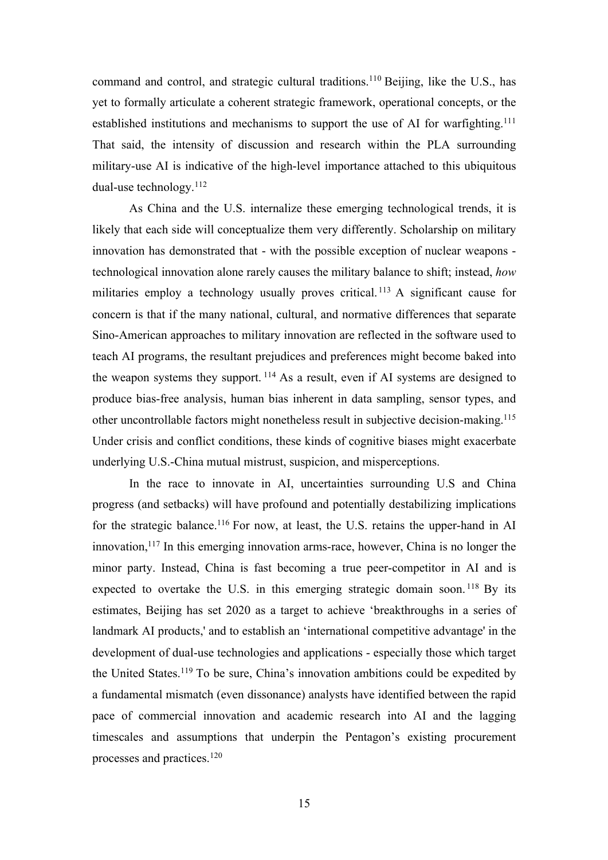command and control, and strategic cultural traditions.<sup>110</sup> Beijing, like the U.S., has yet to formally articulate a coherent strategic framework, operational concepts, or the established institutions and mechanisms to support the use of AI for warfighting.<sup>111</sup> That said, the intensity of discussion and research within the PLA surrounding military-use AI is indicative of the high-level importance attached to this ubiquitous dual-use technology.112

As China and the U.S. internalize these emerging technological trends, it is likely that each side will conceptualize them very differently. Scholarship on military innovation has demonstrated that - with the possible exception of nuclear weapons technological innovation alone rarely causes the military balance to shift; instead, *how* militaries employ a technology usually proves critical. <sup>113</sup> A significant cause for concern is that if the many national, cultural, and normative differences that separate Sino-American approaches to military innovation are reflected in the software used to teach AI programs, the resultant prejudices and preferences might become baked into the weapon systems they support.  $114$  As a result, even if AI systems are designed to produce bias-free analysis, human bias inherent in data sampling, sensor types, and other uncontrollable factors might nonetheless result in subjective decision-making.115 Under crisis and conflict conditions, these kinds of cognitive biases might exacerbate underlying U.S.-China mutual mistrust, suspicion, and misperceptions.

In the race to innovate in AI, uncertainties surrounding U.S and China progress (and setbacks) will have profound and potentially destabilizing implications for the strategic balance.<sup>116</sup> For now, at least, the U.S. retains the upper-hand in AI innovation,  $117$  In this emerging innovation arms-race, however, China is no longer the minor party. Instead, China is fast becoming a true peer-competitor in AI and is expected to overtake the U.S. in this emerging strategic domain soon.<sup>118</sup> By its estimates, Beijing has set 2020 as a target to achieve 'breakthroughs in a series of landmark AI products,' and to establish an 'international competitive advantage' in the development of dual-use technologies and applications - especially those which target the United States.119 To be sure, China's innovation ambitions could be expedited by a fundamental mismatch (even dissonance) analysts have identified between the rapid pace of commercial innovation and academic research into AI and the lagging timescales and assumptions that underpin the Pentagon's existing procurement processes and practices. 120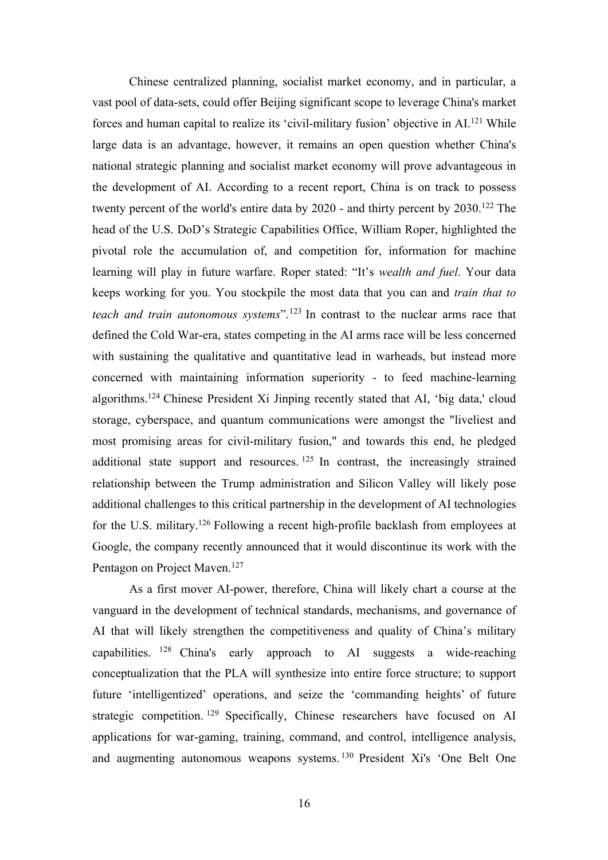Chinese centralized planning, socialist market economy, and in particular, a vast pool of data-sets, could offer Beijing significant scope to leverage China's market forces and human capital to realize its 'civil-military fusion' objective in AI.<sup>121</sup> While large data is an advantage, however, it remains an open question whether China's national strategic planning and socialist market economy will prove advantageous in the development of AI. According to a recent report, China is on track to possess twenty percent of the world's entire data by 2020 - and thirty percent by 2030.<sup>122</sup> The head of the U.S. DoD's Strategic Capabilities Office, William Roper, highlighted the pivotal role the accumulation of, and competition for, information for machine learning will play in future warfare. Roper stated: "It's *wealth and fuel*. Your data keeps working for you. You stockpile the most data that you can and *train that to teach and train autonomous systems*".123 In contrast to the nuclear arms race that defined the Cold War-era, states competing in the AI arms race will be less concerned with sustaining the qualitative and quantitative lead in warheads, but instead more concerned with maintaining information superiority - to feed machine-learning algorithms.124 Chinese President Xi Jinping recently stated that AI, 'big data,' cloud storage, cyberspace, and quantum communications were amongst the "liveliest and most promising areas for civil-military fusion," and towards this end, he pledged additional state support and resources.  $125$  In contrast, the increasingly strained relationship between the Trump administration and Silicon Valley will likely pose additional challenges to this critical partnership in the development of AI technologies for the U.S. military.126 Following a recent high-profile backlash from employees at Google, the company recently announced that it would discontinue its work with the Pentagon on Project Maven.<sup>127</sup>

As a first mover AI-power, therefore, China will likely chart a course at the vanguard in the development of technical standards, mechanisms, and governance of AI that will likely strengthen the competitiveness and quality of China's military capabilities. <sup>128</sup> China's early approach to AI suggests a wide-reaching conceptualization that the PLA will synthesize into entire force structure; to support future 'intelligentized' operations, and seize the 'commanding heights' of future strategic competition. <sup>129</sup> Specifically, Chinese researchers have focused on AI applications for war-gaming, training, command, and control, intelligence analysis, and augmenting autonomous weapons systems. <sup>130</sup> President Xi's 'One Belt One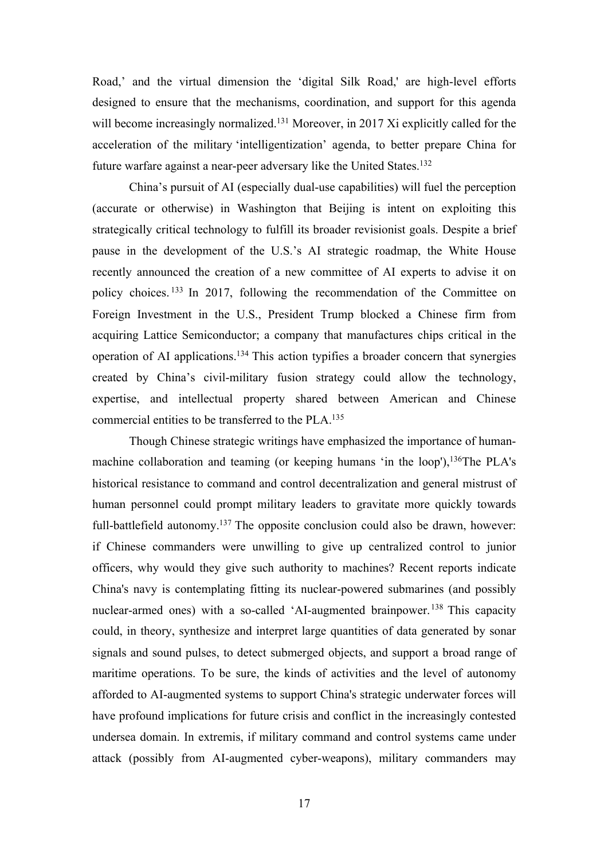Road,' and the virtual dimension the 'digital Silk Road,' are high-level efforts designed to ensure that the mechanisms, coordination, and support for this agenda will become increasingly normalized.<sup>131</sup> Moreover, in 2017 Xi explicitly called for the acceleration of the military 'intelligentization' agenda, to better prepare China for future warfare against a near-peer adversary like the United States.<sup>132</sup>

China's pursuit of AI (especially dual-use capabilities) will fuel the perception (accurate or otherwise) in Washington that Beijing is intent on exploiting this strategically critical technology to fulfill its broader revisionist goals. Despite a brief pause in the development of the U.S.'s AI strategic roadmap, the White House recently announced the creation of a new committee of AI experts to advise it on policy choices. <sup>133</sup> In 2017, following the recommendation of the Committee on Foreign Investment in the U.S., President Trump blocked a Chinese firm from acquiring Lattice Semiconductor; a company that manufactures chips critical in the operation of AI applications.134 This action typifies a broader concern that synergies created by China's civil-military fusion strategy could allow the technology, expertise, and intellectual property shared between American and Chinese commercial entities to be transferred to the PLA.135

Though Chinese strategic writings have emphasized the importance of humanmachine collaboration and teaming (or keeping humans 'in the loop'),  $136$ The PLA's historical resistance to command and control decentralization and general mistrust of human personnel could prompt military leaders to gravitate more quickly towards full-battlefield autonomy.<sup>137</sup> The opposite conclusion could also be drawn, however: if Chinese commanders were unwilling to give up centralized control to junior officers, why would they give such authority to machines? Recent reports indicate China's navy is contemplating fitting its nuclear-powered submarines (and possibly nuclear-armed ones) with a so-called 'AI-augmented brainpower.<sup>138</sup> This capacity could, in theory, synthesize and interpret large quantities of data generated by sonar signals and sound pulses, to detect submerged objects, and support a broad range of maritime operations. To be sure, the kinds of activities and the level of autonomy afforded to AI-augmented systems to support China's strategic underwater forces will have profound implications for future crisis and conflict in the increasingly contested undersea domain. In extremis, if military command and control systems came under attack (possibly from AI-augmented cyber-weapons), military commanders may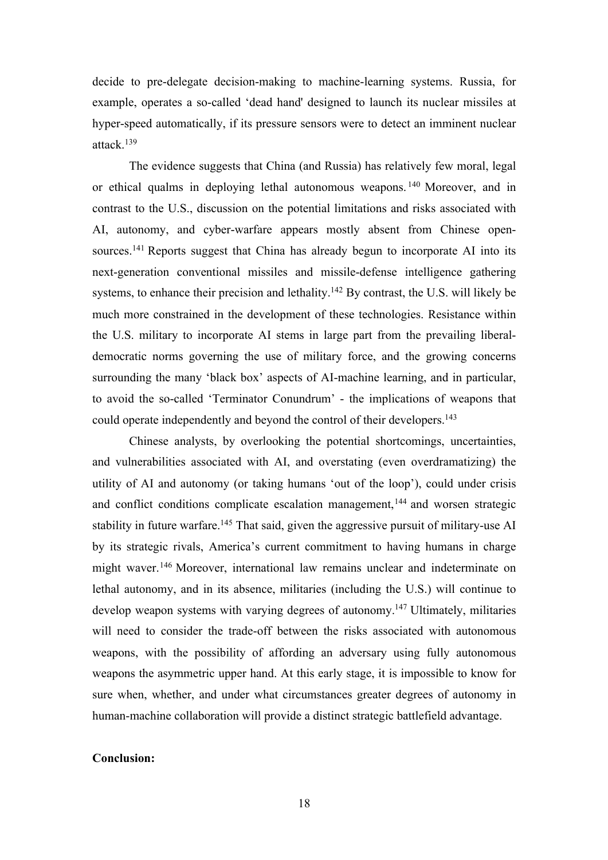decide to pre-delegate decision-making to machine-learning systems. Russia, for example, operates a so-called 'dead hand' designed to launch its nuclear missiles at hyper-speed automatically, if its pressure sensors were to detect an imminent nuclear attack.139

The evidence suggests that China (and Russia) has relatively few moral, legal or ethical qualms in deploying lethal autonomous weapons. <sup>140</sup> Moreover, and in contrast to the U.S., discussion on the potential limitations and risks associated with AI, autonomy, and cyber-warfare appears mostly absent from Chinese opensources.<sup>141</sup> Reports suggest that China has already begun to incorporate AI into its next-generation conventional missiles and missile-defense intelligence gathering systems, to enhance their precision and lethality.142 By contrast, the U.S. will likely be much more constrained in the development of these technologies. Resistance within the U.S. military to incorporate AI stems in large part from the prevailing liberaldemocratic norms governing the use of military force, and the growing concerns surrounding the many 'black box' aspects of AI-machine learning, and in particular, to avoid the so-called 'Terminator Conundrum' - the implications of weapons that could operate independently and beyond the control of their developers.<sup>143</sup>

Chinese analysts, by overlooking the potential shortcomings, uncertainties, and vulnerabilities associated with AI, and overstating (even overdramatizing) the utility of AI and autonomy (or taking humans 'out of the loop'), could under crisis and conflict conditions complicate escalation management,  $144$  and worsen strategic stability in future warfare.<sup>145</sup> That said, given the aggressive pursuit of military-use AI by its strategic rivals, America's current commitment to having humans in charge might waver.<sup>146</sup> Moreover, international law remains unclear and indeterminate on lethal autonomy, and in its absence, militaries (including the U.S.) will continue to develop weapon systems with varying degrees of autonomy.<sup>147</sup> Ultimately, militaries will need to consider the trade-off between the risks associated with autonomous weapons, with the possibility of affording an adversary using fully autonomous weapons the asymmetric upper hand. At this early stage, it is impossible to know for sure when, whether, and under what circumstances greater degrees of autonomy in human-machine collaboration will provide a distinct strategic battlefield advantage.

# **Conclusion:**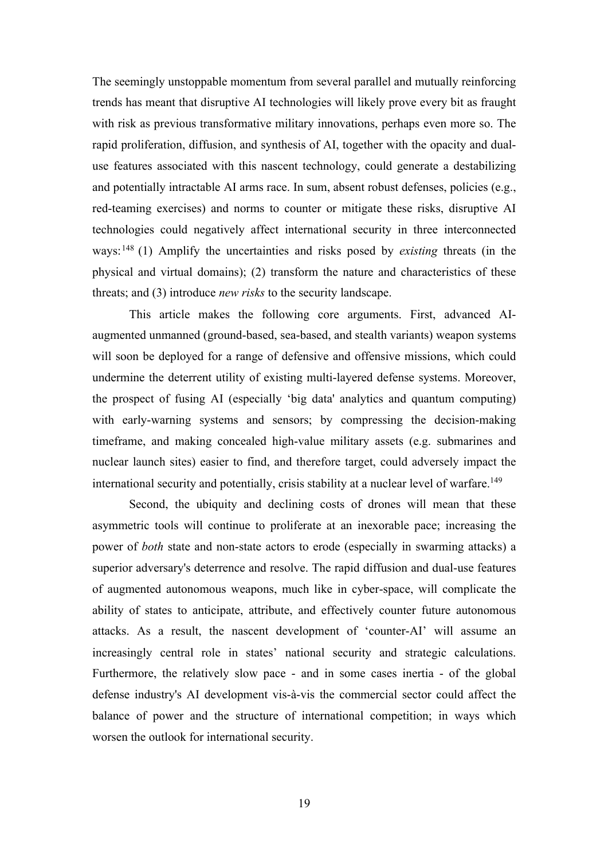The seemingly unstoppable momentum from several parallel and mutually reinforcing trends has meant that disruptive AI technologies will likely prove every bit as fraught with risk as previous transformative military innovations, perhaps even more so. The rapid proliferation, diffusion, and synthesis of AI, together with the opacity and dualuse features associated with this nascent technology, could generate a destabilizing and potentially intractable AI arms race. In sum, absent robust defenses, policies (e.g., red-teaming exercises) and norms to counter or mitigate these risks, disruptive AI technologies could negatively affect international security in three interconnected ways:148 (1) Amplify the uncertainties and risks posed by *existing* threats (in the physical and virtual domains); (2) transform the nature and characteristics of these threats; and (3) introduce *new risks* to the security landscape.

This article makes the following core arguments. First, advanced AIaugmented unmanned (ground-based, sea-based, and stealth variants) weapon systems will soon be deployed for a range of defensive and offensive missions, which could undermine the deterrent utility of existing multi-layered defense systems. Moreover, the prospect of fusing AI (especially 'big data' analytics and quantum computing) with early-warning systems and sensors; by compressing the decision-making timeframe, and making concealed high-value military assets (e.g. submarines and nuclear launch sites) easier to find, and therefore target, could adversely impact the international security and potentially, crisis stability at a nuclear level of warfare.<sup>149</sup>

Second, the ubiquity and declining costs of drones will mean that these asymmetric tools will continue to proliferate at an inexorable pace; increasing the power of *both* state and non-state actors to erode (especially in swarming attacks) a superior adversary's deterrence and resolve. The rapid diffusion and dual-use features of augmented autonomous weapons, much like in cyber-space, will complicate the ability of states to anticipate, attribute, and effectively counter future autonomous attacks. As a result, the nascent development of 'counter-AI' will assume an increasingly central role in states' national security and strategic calculations. Furthermore, the relatively slow pace - and in some cases inertia - of the global defense industry's AI development vis-à-vis the commercial sector could affect the balance of power and the structure of international competition; in ways which worsen the outlook for international security.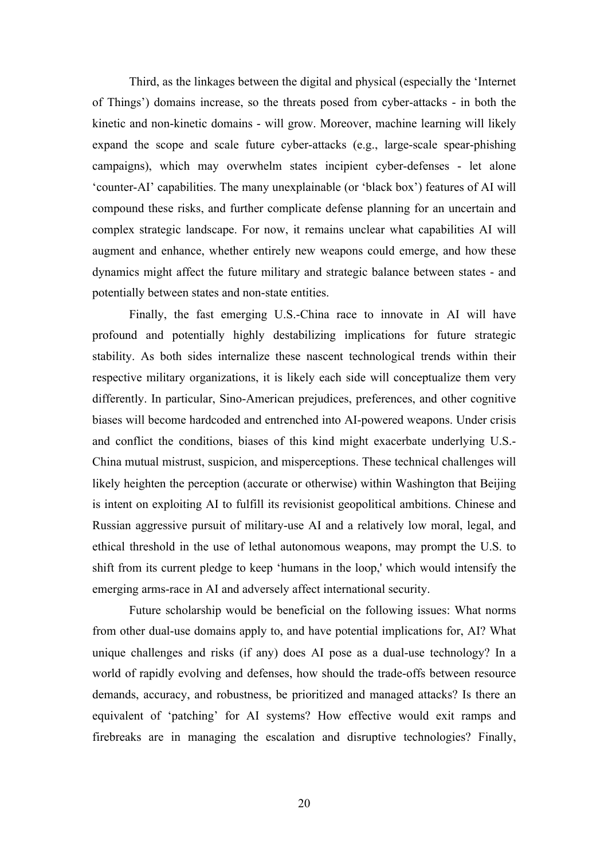Third, as the linkages between the digital and physical (especially the 'Internet of Things') domains increase, so the threats posed from cyber-attacks - in both the kinetic and non-kinetic domains - will grow. Moreover, machine learning will likely expand the scope and scale future cyber-attacks (e.g., large-scale spear-phishing campaigns), which may overwhelm states incipient cyber-defenses - let alone 'counter-AI' capabilities. The many unexplainable (or 'black box') features of AI will compound these risks, and further complicate defense planning for an uncertain and complex strategic landscape. For now, it remains unclear what capabilities AI will augment and enhance, whether entirely new weapons could emerge, and how these dynamics might affect the future military and strategic balance between states - and potentially between states and non-state entities.

Finally, the fast emerging U.S.-China race to innovate in AI will have profound and potentially highly destabilizing implications for future strategic stability. As both sides internalize these nascent technological trends within their respective military organizations, it is likely each side will conceptualize them very differently. In particular, Sino-American prejudices, preferences, and other cognitive biases will become hardcoded and entrenched into AI-powered weapons. Under crisis and conflict the conditions, biases of this kind might exacerbate underlying U.S.- China mutual mistrust, suspicion, and misperceptions. These technical challenges will likely heighten the perception (accurate or otherwise) within Washington that Beijing is intent on exploiting AI to fulfill its revisionist geopolitical ambitions. Chinese and Russian aggressive pursuit of military-use AI and a relatively low moral, legal, and ethical threshold in the use of lethal autonomous weapons, may prompt the U.S. to shift from its current pledge to keep 'humans in the loop,' which would intensify the emerging arms-race in AI and adversely affect international security.

Future scholarship would be beneficial on the following issues: What norms from other dual-use domains apply to, and have potential implications for, AI? What unique challenges and risks (if any) does AI pose as a dual-use technology? In a world of rapidly evolving and defenses, how should the trade-offs between resource demands, accuracy, and robustness, be prioritized and managed attacks? Is there an equivalent of 'patching' for AI systems? How effective would exit ramps and firebreaks are in managing the escalation and disruptive technologies? Finally,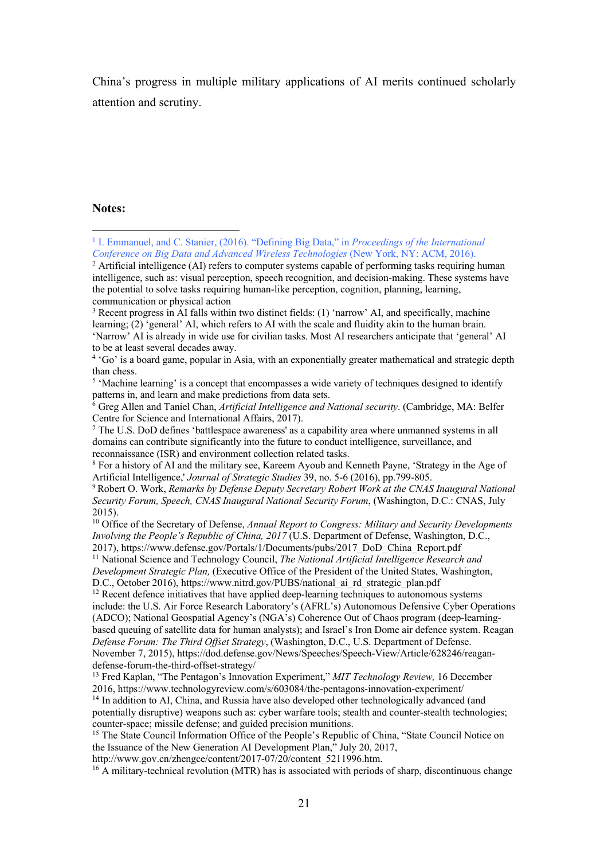China's progress in multiple military applications of AI merits continued scholarly attention and scrutiny.

#### **Notes:**

<sup>1</sup> I. Emmanuel, and C. Stanier, (2016). "Defining Big Data," in *Proceedings of the International Conference on Big Data and Advanced Wireless Technologies* (New York, NY: ACM, 2016).

 $2$  Artificial intelligence (AI) refers to computer systems capable of performing tasks requiring human intelligence, such as: visual perception, speech recognition, and decision-making. These systems have the potential to solve tasks requiring human-like perception, cognition, planning, learning, communication or physical action

<sup>3</sup> Recent progress in AI falls within two distinct fields: (1) 'narrow' AI, and specifically, machine learning; (2) 'general' AI, which refers to AI with the scale and fluidity akin to the human brain. 'Narrow' AI is already in wide use for civilian tasks. Most AI researchers anticipate that 'general' AI to be at least several decades away.

<sup>4</sup> 'Go' is a board game, popular in Asia, with an exponentially greater mathematical and strategic depth than chess.

<sup>&</sup>lt;sup>5</sup> 'Machine learning' is a concept that encompasses a wide variety of techniques designed to identify patterns in, and learn and make predictions from data sets.

<sup>6</sup> Greg Allen and Taniel Chan, *Artificial Intelligence and National security*. (Cambridge, MA: Belfer Centre for Science and International Affairs, 2017).

<sup>7</sup> The U.S. DoD defines 'battlespace awareness' as a capability area where unmanned systems in all domains can contribute significantly into the future to conduct intelligence, surveillance, and reconnaissance (ISR) and environment collection related tasks.

<sup>8</sup> For a history of AI and the military see, Kareem Ayoub and Kenneth Payne, 'Strategy in the Age of Artificial Intelligence,' *Journal of Strategic Studies* 39, no. 5-6 (2016), pp.799-805.

<sup>9</sup> Robert O. Work, *Remarks by Defense Deputy Secretary Robert Work at the CNAS Inaugural National Security Forum, Speech, CNAS Inaugural National Security Forum*, (Washington, D.C.: CNAS, July 2015).

<sup>10</sup> Office of the Secretary of Defense, *Annual Report to Congress: Military and Security Developments Involving the People's Republic of China, 2017* (U.S. Department of Defense, Washington, D.C., 2017), https://www.defense.gov/Portals/1/Documents/pubs/2017\_DoD\_China\_Report.pdf

<sup>11</sup> National Science and Technology Council, *The National Artificial Intelligence Research and Development Strategic Plan,* (Executive Office of the President of the United States, Washington,

D.C., October 2016), https://www.nitrd.gov/PUBS/national\_ai\_rd\_strategic\_plan.pdf

 $12$  Recent defence initiatives that have applied deep-learning techniques to autonomous systems include: the U.S. Air Force Research Laboratory's (AFRL's) Autonomous Defensive Cyber Operations (ADCO); National Geospatial Agency's (NGA's) Coherence Out of Chaos program (deep-learningbased queuing of satellite data for human analysts); and Israel's Iron Dome air defence system. Reagan *Defense Forum: The Third Offset Strategy*, (Washington, D.C., U.S. Department of Defense. November 7, 2015), https://dod.defense.gov/News/Speeches/Speech-View/Article/628246/reagandefense-forum-the-third-offset-strategy/

<sup>13</sup> Fred Kaplan, "The Pentagon's Innovation Experiment," *MIT Technology Review,* 16 December 2016, https://www.technologyreview.com/s/603084/the-pentagons-innovation-experiment/

<sup>&</sup>lt;sup>14</sup> In addition to AI, China, and Russia have also developed other technologically advanced (and potentially disruptive) weapons such as: cyber warfare tools; stealth and counter-stealth technologies; counter-space; missile defense; and guided precision munitions.

<sup>&</sup>lt;sup>15</sup> The State Council Information Office of the People's Republic of China, "State Council Notice on the Issuance of the New Generation AI Development Plan," July 20, 2017,

http://www.gov.cn/zhengce/content/2017-07/20/content\_5211996.htm.

<sup>&</sup>lt;sup>16</sup> A military-technical revolution (MTR) has is associated with periods of sharp, discontinuous change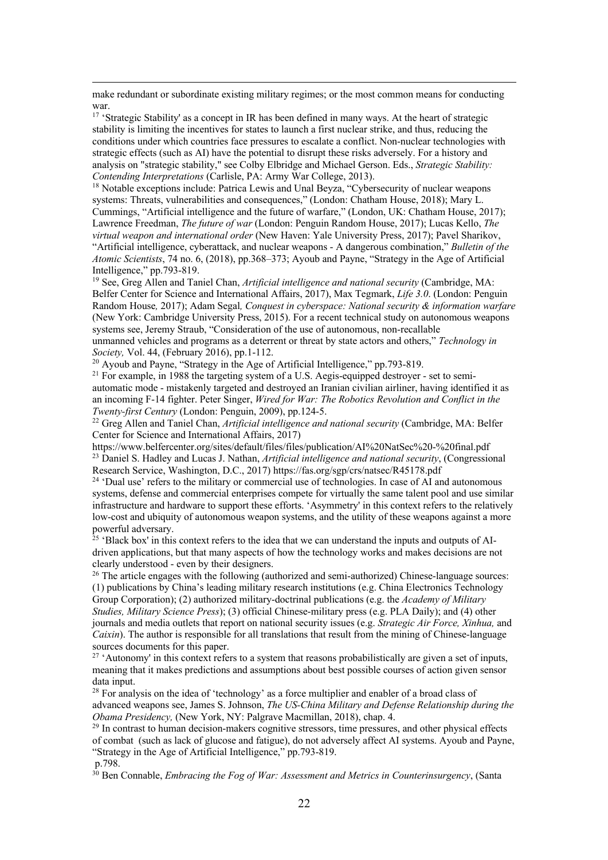make redundant or subordinate existing military regimes; or the most common means for conducting war.

<sup>17</sup> 'Strategic Stability' as a concept in IR has been defined in many ways. At the heart of strategic stability is limiting the incentives for states to launch a first nuclear strike, and thus, reducing the conditions under which countries face pressures to escalate a conflict. Non-nuclear technologies with strategic effects (such as AI) have the potential to disrupt these risks adversely. For a history and analysis on "strategic stability," see Colby Elbridge and Michael Gerson. Eds., *Strategic Stability: Contending Interpretations* (Carlisle, PA: Army War College, 2013).

<sup>18</sup> Notable exceptions include: Patrica Lewis and Unal Beyza, "Cybersecurity of nuclear weapons systems: Threats, vulnerabilities and consequences," (London: Chatham House, 2018); Mary L. Cummings, "Artificial intelligence and the future of warfare," (London, UK: Chatham House, 2017); Lawrence Freedman, *The future of war* (London: Penguin Random House, 2017); Lucas Kello, *The virtual weapon and international order* (New Haven: Yale University Press, 2017); Pavel Sharikov, "Artificial intelligence, cyberattack, and nuclear weapons - A dangerous combination," *Bulletin of the Atomic Scientists*, 74 no. 6, (2018), pp.368–373; Ayoub and Payne, "Strategy in the Age of Artificial Intelligence," pp.793-819.

<sup>19</sup> See, Greg Allen and Taniel Chan, *Artificial intelligence and national security* (Cambridge, MA: Belfer Center for Science and International Affairs, 2017), Max Tegmark, *Life 3.0*. (London: Penguin Random House*,* 2017); Adam Segal*, Conquest in cyberspace: National security & information warfare* (New York: Cambridge University Press, 2015). For a recent technical study on autonomous weapons systems see, Jeremy Straub, "Consideration of the use of autonomous, non-recallable unmanned vehicles and programs as a deterrent or threat by state actors and others," *Technology in Society,* Vol. 44, (February 2016), pp.1-112.

<sup>20</sup> Ayoub and Payne, "Strategy in the Age of Artificial Intelligence," pp.793-819.

<sup>21</sup> For example, in 1988 the targeting system of a U.S. Aegis-equipped destroyer - set to semiautomatic mode - mistakenly targeted and destroyed an Iranian civilian airliner, having identified it as an incoming F-14 fighter. Peter Singer, *Wired for War: The Robotics Revolution and Conflict in the Twenty-first Century* (London: Penguin, 2009), pp.124-5.

<sup>22</sup> Greg Allen and Taniel Chan, *Artificial intelligence and national security* (Cambridge, MA: Belfer Center for Science and International Affairs, 2017)

https://www.belfercenter.org/sites/default/files/files/publication/AI%20NatSec%20-%20final.pdf <sup>23</sup> Daniel S. Hadley and Lucas J. Nathan, *Artificial intelligence and national security*, (Congressional Research Service, Washington, D.C., 2017) https://fas.org/sgp/crs/natsec/R45178.pdf

 $24$  'Dual use' refers to the military or commercial use of technologies. In case of AI and autonomous systems, defense and commercial enterprises compete for virtually the same talent pool and use similar infrastructure and hardware to support these efforts. 'Asymmetry' in this context refers to the relatively low-cost and ubiquity of autonomous weapon systems, and the utility of these weapons against a more powerful adversary.

 $25$  'Black box' in this context refers to the idea that we can understand the inputs and outputs of AIdriven applications, but that many aspects of how the technology works and makes decisions are not clearly understood - even by their designers.<br><sup>26</sup> The article engages with the following (authorized and semi-authorized) Chinese-language sources:

(1) publications by China's leading military research institutions (e.g. China Electronics Technology Group Corporation); (2) authorized military-doctrinal publications (e.g. the *Academy of Military Studies, Military Science Press*); (3) official Chinese-military press (e.g. PLA Daily); and (4) other journals and media outlets that report on national security issues (e.g. *Strategic Air Force, Xinhua,* and *Caixin*). The author is responsible for all translations that result from the mining of Chinese-language sources documents for this paper.<br><sup>27</sup> 'Autonomy' in this context refers to a system that reasons probabilistically are given a set of inputs,

meaning that it makes predictions and assumptions about best possible courses of action given sensor data input.

<sup>28</sup> For analysis on the idea of 'technology' as a force multiplier and enabler of a broad class of advanced weapons see, James S. Johnson, *The US-China Military and Defense Relationship during the Obama Presidency,* (New York, NY: Palgrave Macmillan, 2018), chap. 4.

 $29$  In contrast to human decision-makers cognitive stressors, time pressures, and other physical effects of combat (such as lack of glucose and fatigue), do not adversely affect AI systems. Ayoub and Payne, "Strategy in the Age of Artificial Intelligence," pp.793-819.

p.798.

<sup>30</sup> Ben Connable, *Embracing the Fog of War: Assessment and Metrics in Counterinsurgency*, (Santa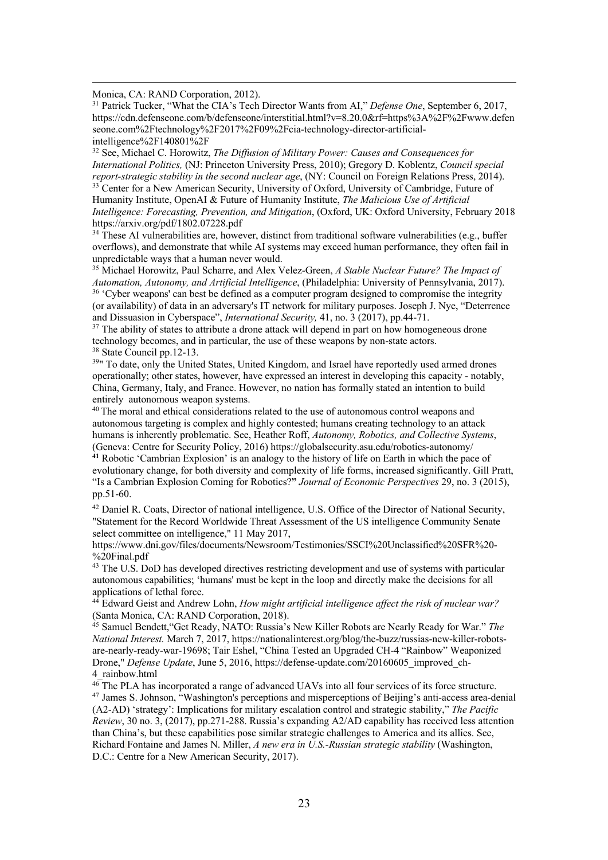Monica, CA: RAND Corporation, 2012).

<sup>31</sup> Patrick Tucker, "What the CIA's Tech Director Wants from AI," *Defense One*, September 6, 2017, https://cdn.defenseone.com/b/defenseone/interstitial.html?v=8.20.0&rf=https%3A%2F%2Fwww.defen seone.com%2Ftechnology%2F2017%2F09%2Fcia-technology-director-artificialintelligence%2F140801%2F

<sup>32</sup> See, Michael C. Horowitz, *The Diffusion of Military Power: Causes and Consequences for International Politics,* (NJ: Princeton University Press, 2010); Gregory D. Koblentz, *Council special*  <sup>33</sup> Center for a New American Security, University of Oxford, University of Cambridge, Future of Humanity Institute, OpenAI & Future of Humanity Institute, *The Malicious Use of Artificial Intelligence: Forecasting, Prevention, and Mitigation*, (Oxford, UK: Oxford University, February 2018 https://arxiv.org/pdf/1802.07228.pdf

 $34$  These AI vulnerabilities are, however, distinct from traditional software vulnerabilities (e.g., buffer overflows), and demonstrate that while AI systems may exceed human performance, they often fail in unpredictable ways that a human never would.

<sup>35</sup> Michael Horowitz, Paul Scharre, and Alex Velez-Green, *A Stable Nuclear Future? The Impact of Automation, Autonomy, and Artificial Intelligence*, (Philadelphia: University of Pennsylvania, 2017). <sup>36</sup> 'Cyber weapons' can best be defined as a computer program designed to compromise the integrity (or availability) of data in an adversary's IT network for military purposes. Joseph J. Nye, "Deterrence and Dissuasion in Cyberspace", *International Security,* 41, no. 3 (2017), pp.44-71.

<sup>37</sup> The ability of states to attribute a drone attack will depend in part on how homogeneous drone technology becomes, and in particular, the use of these weapons by non-state actors. 38 State Council pp.12-13.

<sup>39</sup>" To date, only the United States, United Kingdom, and Israel have reportedly used armed drones operationally; other states, however, have expressed an interest in developing this capacity - notably, China, Germany, Italy, and France. However, no nation has formally stated an intention to build entirely autonomous weapon systems.

<sup>40</sup> The moral and ethical considerations related to the use of autonomous control weapons and autonomous targeting is complex and highly contested; humans creating technology to an attack humans is inherently problematic. See, Heather Roff, *Autonomy, Robotics, and Collective Systems*, (Geneva: Centre for Security Policy, 2016) https://globalsecurity.asu.edu/robotics-autonomy/

**<sup>41</sup>** Robotic 'Cambrian Explosion' is an analogy to the history of life on Earth in which the pace of evolutionary change, for both diversity and complexity of life forms, increased significantly. Gill Pratt, "Is a Cambrian Explosion Coming for Robotics?**"** *Journal of Economic Perspectives* 29, no. 3 (2015), pp.51-60.

<sup>42</sup> Daniel R. Coats, Director of national intelligence, U.S. Office of the Director of National Security, "Statement for the Record Worldwide Threat Assessment of the US intelligence Community Senate select committee on intelligence," 11 May 2017,

https://www.dni.gov/files/documents/Newsroom/Testimonies/SSCI%20Unclassified%20SFR%20- %20Final.pdf

<sup>43</sup> The U.S. DoD has developed directives restricting development and use of systems with particular autonomous capabilities; 'humans' must be kept in the loop and directly make the decisions for all applications of lethal force.

<sup>44</sup> Edward Geist and Andrew Lohn, *How might artificial intelligence affect the risk of nuclear war?* (Santa Monica, CA: RAND Corporation, 2018).

<sup>45</sup> Samuel Bendett,"Get Ready, NATO: Russia's New Killer Robots are Nearly Ready for War." *The National Interest.* March 7, 2017, https://nationalinterest.org/blog/the-buzz/russias-new-killer-robotsare-nearly-ready-war-19698; Tair Eshel, "China Tested an Upgraded CH-4 "Rainbow" Weaponized Drone," *Defense Update*, June 5, 2016, https://defense-update.com/20160605\_improved\_ch-4\_rainbow.html

<sup>46</sup> The PLA has incorporated a range of advanced UAVs into all four services of its force structure. <sup>47</sup> James S. Johnson, "Washington's perceptions and misperceptions of Beijing's anti-access area-denial (A2-AD) 'strategy': Implications for military escalation control and strategic stability," *The Pacific Review*, 30 no. 3, (2017), pp.271-288. Russia's expanding A2/AD capability has received less attention than China's, but these capabilities pose similar strategic challenges to America and its allies. See, Richard Fontaine and James N. Miller, *A new era in U.S.-Russian strategic stability* (Washington, D.C.: Centre for a New American Security, 2017).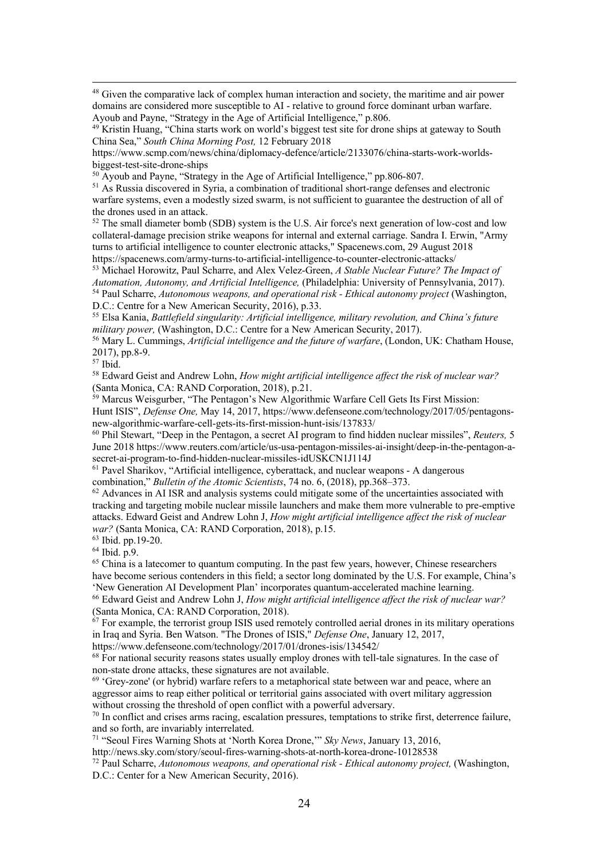<sup>48</sup> Given the comparative lack of complex human interaction and society, the maritime and air power domains are considered more susceptible to AI - relative to ground force dominant urban warfare. Ayoub and Payne, "Strategy in the Age of Artificial Intelligence," p.806.

https://www.scmp.com/news/china/diplomacy-defence/article/2133076/china-starts-work-worldsbiggest-test-site-drone-ships

 $50$  Ayoub and Payne, "Strategy in the Age of Artificial Intelligence," pp.806-807.

<sup>51</sup> As Russia discovered in Syria, a combination of traditional short-range defenses and electronic warfare systems, even a modestly sized swarm, is not sufficient to guarantee the destruction of all of the drones used in an attack.

<sup>52</sup> The small diameter bomb (SDB) system is the U.S. Air force's next generation of low-cost and low collateral-damage precision strike weapons for internal and external carriage. Sandra I. Erwin, "Army turns to artificial intelligence to counter electronic attacks," Spacenews.com, 29 August 2018 https://spacenews.com/army-turns-to-artificial-intelligence-to-counter-electronic-attacks/

<sup>53</sup> Michael Horowitz, Paul Scharre, and Alex Velez-Green, *A Stable Nuclear Future? The Impact of Automation, Autonomy, and Artificial Intelligence,* (Philadelphia: University of Pennsylvania, 2017). <sup>54</sup> Paul Scharre, *Autonomous weapons, and operational risk - Ethical autonomy project* (Washington, D.C.: Centre for a New American Security, 2016), p.33.

<sup>55</sup> Elsa Kania, *Battlefield singularity: Artificial intelligence, military revolution, and China's future military power,* (Washington, D.C.: Centre for a New American Security, 2017).

<sup>56</sup> Mary L. Cummings, *Artificial intelligence and the future of warfare*, (London, UK: Chatham House, 2017), pp.8-9.

<sup>57</sup> Ibid.

<sup>58</sup> Edward Geist and Andrew Lohn, *How might artificial intelligence affect the risk of nuclear war?* (Santa Monica, CA: RAND Corporation, 2018), p.21.

<sup>59</sup> Marcus Weisgurber, "The Pentagon's New Algorithmic Warfare Cell Gets Its First Mission: Hunt ISIS", *Defense One,* May 14, 2017, https://www.defenseone.com/technology/2017/05/pentagonsnew-algorithmic-warfare-cell-gets-its-first-mission-hunt-isis/137833/

<sup>60</sup> Phil Stewart, "Deep in the Pentagon, a secret AI program to find hidden nuclear missiles", *Reuters,* 5 June 2018 https://www.reuters.com/article/us-usa-pentagon-missiles-ai-insight/deep-in-the-pentagon-asecret-ai-program-to-find-hidden-nuclear-missiles-idUSKCN1J114J

<sup>61</sup> Pavel Sharikov, "Artificial intelligence, cyberattack, and nuclear weapons - A dangerous combination," *Bulletin of the Atomic Scientists*, 74 no. 6, (2018), pp.368–373.

 $62$  Advances in AI ISR and analysis systems could mitigate some of the uncertainties associated with tracking and targeting mobile nuclear missile launchers and make them more vulnerable to pre-emptive attacks. Edward Geist and Andrew Lohn J, *How might artificial intelligence affect the risk of nuclear war?* (Santa Monica, CA: RAND Corporation, 2018), p.15.

<sup>63</sup> Ibid. pp.19-20.

<sup>64</sup> Ibid. p.9.

<sup>65</sup> China is a latecomer to quantum computing. In the past few years, however, Chinese researchers have become serious contenders in this field; a sector long dominated by the U.S. For example, China's 'New Generation AI Development Plan' incorporates quantum-accelerated machine learning.

<sup>66</sup> Edward Geist and Andrew Lohn J, *How might artificial intelligence affect the risk of nuclear war?* (Santa Monica, CA: RAND Corporation, 2018).

 $67$  For example, the terrorist group ISIS used remotely controlled aerial drones in its military operations in Iraq and Syria. Ben Watson. "The Drones of ISIS," *Defense One*, January 12, 2017,

https://www.defenseone.com/technology/2017/01/drones-isis/134542/

 $68$  For national security reasons states usually employ drones with tell-tale signatures. In the case of non-state drone attacks, these signatures are not available.

 $69$  'Grey-zone' (or hybrid) warfare refers to a metaphorical state between war and peace, where an aggressor aims to reap either political or territorial gains associated with overt military aggression without crossing the threshold of open conflict with a powerful adversary.

<sup>70</sup> In conflict and crises arms racing, escalation pressures, temptations to strike first, deterrence failure, and so forth, are invariably interrelated.

<sup>71</sup> "Seoul Fires Warning Shots at 'North Korea Drone,'" *Sky News*, January 13, 2016,

http://news.sky.com/story/seoul-fires-warning-shots-at-north-korea-drone-10128538

<sup>72</sup> Paul Scharre, *Autonomous weapons, and operational risk - Ethical autonomy project,* (Washington, D.C.: Center for a New American Security, 2016).

<sup>&</sup>lt;sup>49</sup> Kristin Huang, "China starts work on world's biggest test site for drone ships at gateway to South China Sea," *South China Morning Post,* 12 February 2018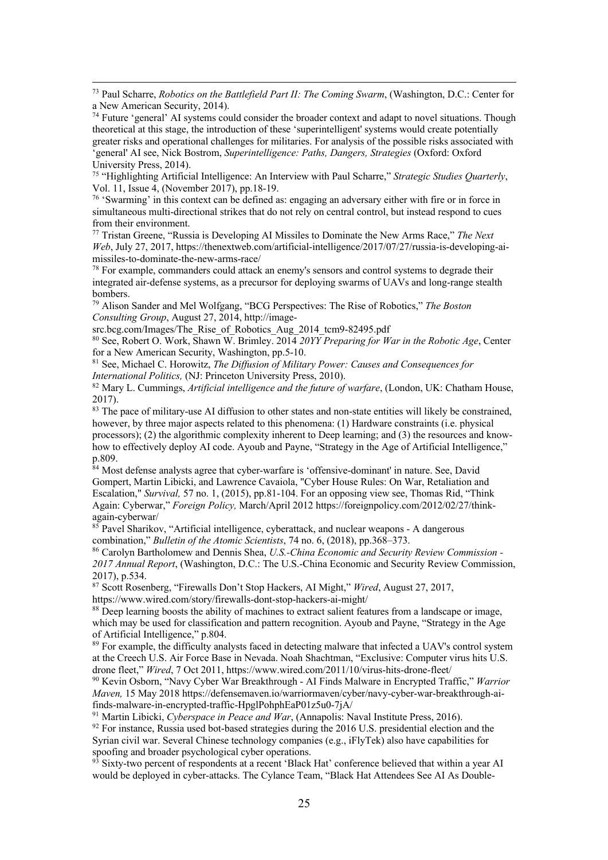<sup>75</sup> "Highlighting Artificial Intelligence: An Interview with Paul Scharre," *Strategic Studies Quarterly*, Vol. 11, Issue 4, (November 2017), pp.18-19.

<sup>76</sup> 'Swarming' in this context can be defined as: engaging an adversary either with fire or in force in simultaneous multi-directional strikes that do not rely on central control, but instead respond to cues from their environment.

<sup>77</sup> Tristan Greene, "Russia is Developing AI Missiles to Dominate the New Arms Race," *The Next Web*, July 27, 2017, https://thenextweb.com/artificial-intelligence/2017/07/27/russia-is-developing-aimissiles-to-dominate-the-new-arms-race/

<sup>78</sup> For example, commanders could attack an enemy's sensors and control systems to degrade their integrated air-defense systems, as a precursor for deploying swarms of UAVs and long-range stealth bombers.

<sup>79</sup> Alison Sander and Mel Wolfgang, "BCG Perspectives: The Rise of Robotics," *The Boston Consulting Group*, August 27, 2014, http://image-

src.bcg.com/Images/The\_Rise\_of\_Robotics\_Aug\_2014\_tcm9-82495.pdf

<sup>80</sup> See, Robert O. Work, Shawn W. Brimley. 2014 *20YY Preparing for War in the Robotic Age*, Center for a New American Security, Washington, pp.5-10.

<sup>81</sup> See, Michael C. Horowitz, *The Diffusion of Military Power: Causes and Consequences for International Politics,* (NJ: Princeton University Press, 2010).

<sup>82</sup> Mary L. Cummings, *Artificial intelligence and the future of warfare*, (London, UK: Chatham House, 2017).

<sup>83</sup> The pace of military-use AI diffusion to other states and non-state entities will likely be constrained, however, by three major aspects related to this phenomena: (1) Hardware constraints (i.e. physical processors); (2) the algorithmic complexity inherent to Deep learning; and (3) the resources and knowhow to effectively deploy AI code. Ayoub and Payne, "Strategy in the Age of Artificial Intelligence," p.809.

 $84$  Most defense analysts agree that cyber-warfare is 'offensive-dominant' in nature. See, David Gompert, Martin Libicki, and Lawrence Cavaiola, "Cyber House Rules: On War, Retaliation and Escalation," *Survival,* 57 no. 1, (2015), pp.81-104. For an opposing view see, Thomas Rid, "Think Again: Cyberwar," *Foreign Policy,* March/April 2012 https://foreignpolicy.com/2012/02/27/thinkagain-cyberwar/

<sup>85</sup> Pavel Sharikov, "Artificial intelligence, cyberattack, and nuclear weapons - A dangerous combination," *Bulletin of the Atomic Scientists*, 74 no. 6, (2018), pp.368–373.

<sup>86</sup> Carolyn Bartholomew and Dennis Shea, *U.S.-China Economic and Security Review Commission - 2017 Annual Report*, (Washington, D.C.: The U.S.-China Economic and Security Review Commission, 2017), p.534.

<sup>87</sup> Scott Rosenberg, "Firewalls Don't Stop Hackers, AI Might," *Wired*, August 27, 2017, https://www.wired.com/story/firewalls-dont-stop-hackers-ai-might/

<sup>88</sup> Deep learning boosts the ability of machines to extract salient features from a landscape or image, which may be used for classification and pattern recognition. Ayoub and Payne, "Strategy in the Age of Artificial Intelligence," p.804.

<sup>89</sup> For example, the difficulty analysts faced in detecting malware that infected a UAV's control system at the Creech U.S. Air Force Base in Nevada. Noah Shachtman, "Exclusive: Computer virus hits U.S. drone fleet," *Wired*, 7 Oct 2011, https://www.wired.com/2011/10/virus-hits-drone-fleet/

<sup>90</sup> Kevin Osborn, "Navy Cyber War Breakthrough - AI Finds Malware in Encrypted Traffic," *Warrior Maven,* 15 May 2018 https://defensemaven.io/warriormaven/cyber/navy-cyber-war-breakthrough-aifinds-malware-in-encrypted-traffic-HpglPohphEaP01z5u0-7jA/

<sup>91</sup> Martin Libicki, *Cyberspace in Peace and War*, (Annapolis: Naval Institute Press, 2016).

 $92$  For instance, Russia used bot-based strategies during the 2016 U.S. presidential election and the Syrian civil war. Several Chinese technology companies (e.g., iFlyTek) also have capabilities for spoofing and broader psychological cyber operations.

Sixty-two percent of respondents at a recent 'Black Hat' conference believed that within a year AI would be deployed in cyber-attacks. The Cylance Team, "Black Hat Attendees See AI As Double-

<sup>73</sup> Paul Scharre, *Robotics on the Battlefield Part II: The Coming Swarm*, (Washington, D.C.: Center for a New American Security, 2014).

<sup>74</sup> Future 'general' AI systems could consider the broader context and adapt to novel situations. Though theoretical at this stage, the introduction of these 'superintelligent' systems would create potentially greater risks and operational challenges for militaries. For analysis of the possible risks associated with 'general' AI see, Nick Bostrom, *Superintelligence: Paths, Dangers, Strategies* (Oxford: Oxford University Press, 2014).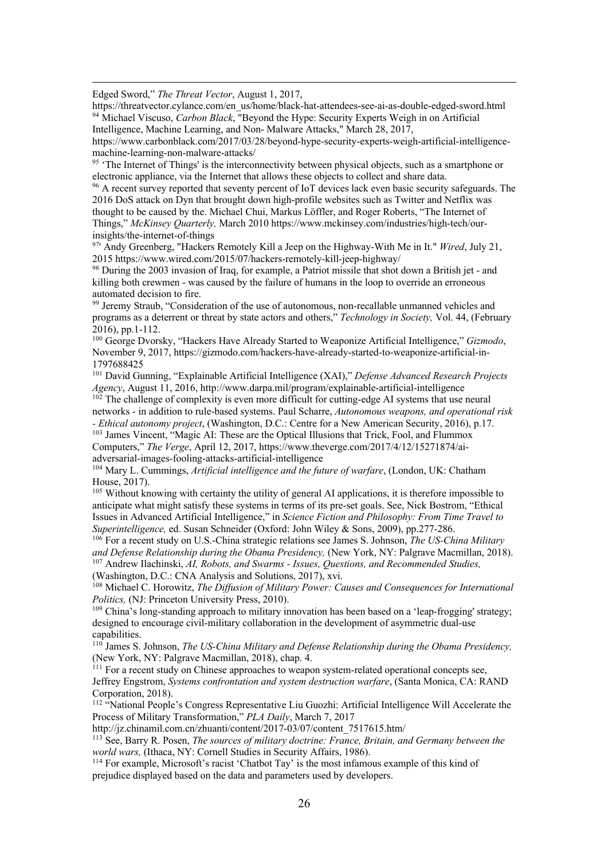Edged Sword," *The Threat Vector*, August 1, 2017,

https://threatvector.cylance.com/en\_us/home/black-hat-attendees-see-ai-as-double-edged-sword.html <sup>94</sup> Michael Viscuso, *Carbon Black*, "Beyond the Hype: Security Experts Weigh in on Artificial Intelligence, Machine Learning, and Non- Malware Attacks," March 28, 2017,

https://www.carbonblack.com/2017/03/28/beyond-hype-security-experts-weigh-artificial-intelligencemachine-learning-non-malware-attacks/

 $95$  'The Internet of Things' is the interconnectivity between physical objects, such as a smartphone or electronic appliance, via the Internet that allows these objects to collect and share data.

<sup>96</sup> A recent survey reported that seventy percent of IoT devices lack even basic security safeguards. The 2016 DoS attack on Dyn that brought down high-profile websites such as Twitter and Netflix was thought to be caused by the. Michael Chui, Markus Löffler, and Roger Roberts, "The Internet of Things," *McKinsey Quarterly,* March 2010 https://www.mckinsey.com/industries/high-tech/ourinsights/the-internet-of-things

97' Andy Greenberg, "Hackers Remotely Kill a Jeep on the Highway-With Me in It." *Wired*, July 21, 2015 https://www.wired.com/2015/07/hackers-remotely-kill-jeep-highway/

<sup>98</sup> During the 2003 invasion of Iraq, for example, a Patriot missile that shot down a British jet - and killing both crewmen - was caused by the failure of humans in the loop to override an erroneous automated decision to fire.

<sup>99</sup> Jeremy Straub, "Consideration of the use of autonomous, non-recallable unmanned vehicles and programs as a deterrent or threat by state actors and others," *Technology in Society,* Vol. 44, (February 2016), pp.1-112.

<sup>100</sup> George Dvorsky, "Hackers Have Already Started to Weaponize Artificial Intelligence," *Gizmodo*, November 9, 2017, https://gizmodo.com/hackers-have-already-started-to-weaponize-artificial-in-1797688425

<sup>101</sup> David Gunning, "Explainable Artificial Intelligence (XAI)," *Defense Advanced Research Projects Agency*, August 11, 2016, http://www.darpa.mil/program/explainable-artificial-intelligence

 $102$  The challenge of complexity is even more difficult for cutting-edge AI systems that use neural networks - in addition to rule-based systems. Paul Scharre, *Autonomous weapons, and operational risk - Ethical autonomy project*, (Washington, D.C.: Centre for a New American Security, 2016), p.17.

<sup>103</sup> James Vincent, "Magic AI: These are the Optical Illusions that Trick, Fool, and Flummox Computers," *The Verge*, April 12, 2017, https://www.theverge.com/2017/4/12/15271874/aiadversarial-images-fooling-attacks-artificial-intelligence

<sup>104</sup> Mary L. Cummings, *Artificial intelligence and the future of warfare*, (London, UK: Chatham House, 2017).

<sup>105</sup> Without knowing with certainty the utility of general AI applications, it is therefore impossible to anticipate what might satisfy these systems in terms of its pre-set goals. See, Nick Bostrom, "Ethical Issues in Advanced Artificial Intelligence," in *Science Fiction and Philosophy: From Time Travel to Superintelligence,* ed. Susan Schneider (Oxford: John Wiley & Sons, 2009), pp.277-286.

<sup>106</sup> For a recent study on U.S.-China strategic relations see James S. Johnson, *The US-China Military and Defense Relationship during the Obama Presidency,* (New York, NY: Palgrave Macmillan, 2018). <sup>107</sup> Andrew Ilachinski, *AI, Robots, and Swarms - Issues, Questions, and Recommended Studies,* (Washington, D.C.: CNA Analysis and Solutions, 2017), xvi.

<sup>108</sup> Michael C. Horowitz, *The Diffusion of Military Power: Causes and Consequences for International Politics,* (NJ: Princeton University Press, 2010).

<sup>109</sup> China's long-standing approach to military innovation has been based on a 'leap-frogging' strategy; designed to encourage civil-military collaboration in the development of asymmetric dual-use capabilities.

<sup>110</sup> James S. Johnson, *The US-China Military and Defense Relationship during the Obama Presidency,*  (New York, NY: Palgrave Macmillan, 2018), chap. 4.

<sup>111</sup> For a recent study on Chinese approaches to weapon system-related operational concepts see, Jeffrey Engstrom, *Systems confrontation and system destruction warfare*, (Santa Monica, CA: RAND Corporation, 2018).

<sup>112</sup> "National People's Congress Representative Liu Guozhi: Artificial Intelligence Will Accelerate the Process of Military Transformation," *PLA Daily*, March 7, 2017

http://jz.chinamil.com.cn/zhuanti/content/2017-03/07/content\_7517615.htm/

<sup>113</sup> See, Barry R. Posen, *The sources of military doctrine: France, Britain, and Germany between the world wars,* (Ithaca, NY: Cornell Studies in Security Affairs, 1986).

<sup>114</sup> For example, Microsoft's racist 'Chatbot Tay' is the most infamous example of this kind of prejudice displayed based on the data and parameters used by developers.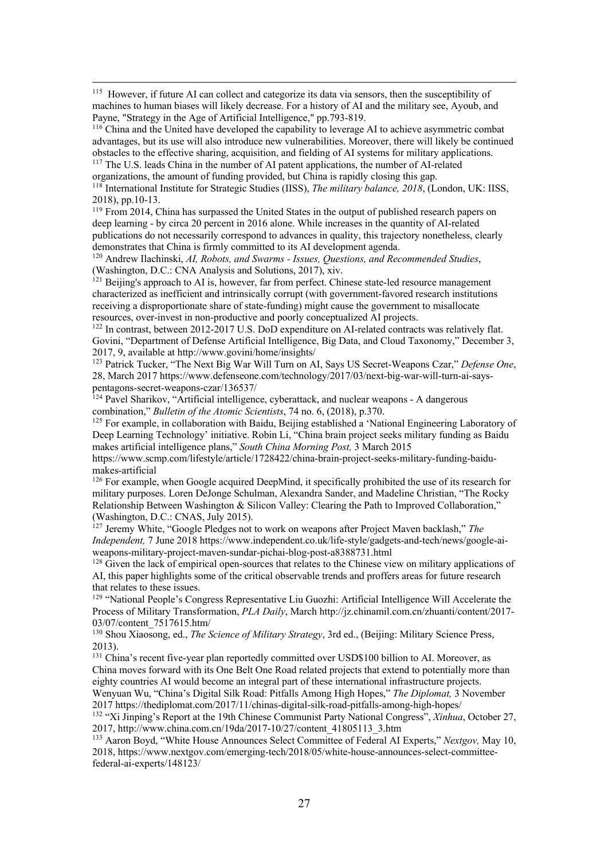<sup>115</sup> However, if future AI can collect and categorize its data via sensors, then the susceptibility of machines to human biases will likely decrease. For a history of AI and the military see, Ayoub, and Payne, "Strategy in the Age of Artificial Intelligence," pp.793-819.

<sup>116</sup> China and the United have developed the capability to leverage AI to achieve asymmetric combat advantages, but its use will also introduce new vulnerabilities. Moreover, there will likely be continued obstacles to the effective sharing, acquisition, and fielding of AI systems for military applications.

<sup>117</sup> The U.S. leads China in the number of AI patent applications, the number of AI-related organizations, the amount of funding provided, but China is rapidly closing this gap. <sup>118</sup> International Institute for Strategic Studies (IISS), *The military balance, 2018*, (London, UK: IISS,

2018), pp.10-13.

<sup>119</sup> From 2014, China has surpassed the United States in the output of published research papers on deep learning - by circa 20 percent in 2016 alone. While increases in the quantity of AI-related publications do not necessarily correspond to advances in quality, this trajectory nonetheless, clearly demonstrates that China is firmly committed to its AI development agenda.

<sup>120</sup> Andrew Ilachinski, *AI, Robots, and Swarms - Issues, Questions, and Recommended Studies*, (Washington, D.C.: CNA Analysis and Solutions, 2017), xiv.

<sup>121</sup> Beijing's approach to AI is, however, far from perfect. Chinese state-led resource management characterized as inefficient and intrinsically corrupt (with government-favored research institutions receiving a disproportionate share of state-funding) might cause the government to misallocate resources, over-invest in non-productive and poorly conceptualized AI projects. 122 In contrast, between 2012-2017 U.S. DoD expenditure on AI-related contracts was relatively flat.

Govini, "Department of Defense Artificial Intelligence, Big Data, and Cloud Taxonomy," December 3, 2017, 9, available at http://www.govini/home/insights/

<sup>123</sup> Patrick Tucker, "The Next Big War Will Turn on AI, Says US Secret-Weapons Czar," *Defense One*, 28, March 2017 https://www.defenseone.com/technology/2017/03/next-big-war-will-turn-ai-sayspentagons-secret-weapons-czar/136537/

 $\frac{124}{124}$  Pavel Sharikov, "Artificial intelligence, cyberattack, and nuclear weapons - A dangerous combination," *Bulletin of the Atomic Scientists*, 74 no. 6, (2018), p.370.

<sup>125</sup> For example, in collaboration with Baidu, Beijing established a 'National Engineering Laboratory of Deep Learning Technology' initiative. Robin Li, "China brain project seeks military funding as Baidu makes artificial intelligence plans," *South China Morning Post,* 3 March 2015

https://www.scmp.com/lifestyle/article/1728422/china-brain-project-seeks-military-funding-baidumakes-artificial

<sup>126</sup> For example, when Google acquired DeepMind, it specifically prohibited the use of its research for military purposes. Loren DeJonge Schulman, Alexandra Sander, and Madeline Christian, "The Rocky Relationship Between Washington & Silicon Valley: Clearing the Path to Improved Collaboration," (Washington, D.C.: CNAS, July 2015).

<sup>127</sup> Jeremy White, "Google Pledges not to work on weapons after Project Maven backlash," *The Independent,* 7 June 2018 https://www.independent.co.uk/life-style/gadgets-and-tech/news/google-aiweapons-military-project-maven-sundar-pichai-blog-post-a8388731.html

<sup>128</sup> Given the lack of empirical open-sources that relates to the Chinese view on military applications of AI, this paper highlights some of the critical observable trends and proffers areas for future research that relates to these issues.

<sup>129</sup> "National People's Congress Representative Liu Guozhi: Artificial Intelligence Will Accelerate the Process of Military Transformation, *PLA Daily*, March http://jz.chinamil.com.cn/zhuanti/content/2017- 03/07/content\_7517615.htm/

<sup>130</sup> Shou Xiaosong, ed., *The Science of Military Strategy*, 3rd ed., (Beijing: Military Science Press, 2013).

<sup>131</sup> China's recent five-year plan reportedly committed over USD\$100 billion to AI. Moreover, as China moves forward with its One Belt One Road related projects that extend to potentially more than eighty countries AI would become an integral part of these international infrastructure projects. Wenyuan Wu, "China's Digital Silk Road: Pitfalls Among High Hopes," *The Diplomat,* 3 November 2017 https://thediplomat.com/2017/11/chinas-digital-silk-road-pitfalls-among-high-hopes/

<sup>132</sup> "Xi Jinping's Report at the 19th Chinese Communist Party National Congress", *Xinhua*, October 27, 2017, http://www.china.com.cn/19da/2017-10/27/content\_41805113\_3.htm

<sup>133</sup> Aaron Boyd, "White House Announces Select Committee of Federal AI Experts," *Nextgov,* May 10, 2018, https://www.nextgov.com/emerging-tech/2018/05/white-house-announces-select-committeefederal-ai-experts/148123/